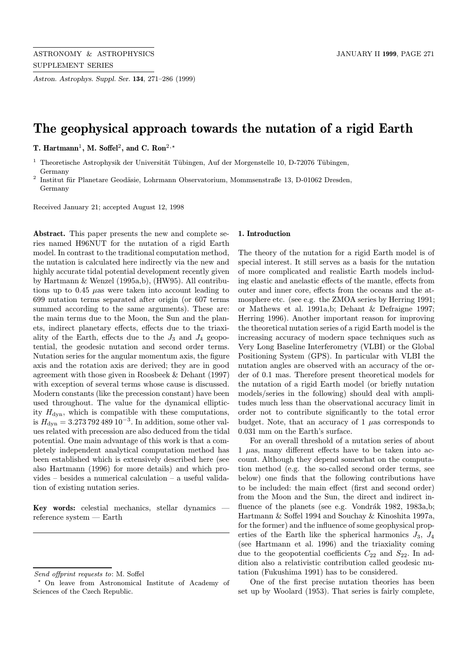Astron. Astrophys. Suppl. Ser. 134, 271–286 (1999)

# The geophysical approach towards the nutation of a rigid Earth

T. Hartmann<sup>1</sup>, M. Soffel<sup>2</sup>, and C. Ron<sup>2,\*</sup>

 $1$  Theoretische Astrophysik der Universität Tübingen, Auf der Morgenstelle 10, D-72076 Tübingen, Germany

 $2$  Institut für Planetare Geodäsie, Lohrmann Observatorium, Mommsenstraße 13, D-01062 Dresden, Germany

Received January 21; accepted August 12, 1998

Abstract. This paper presents the new and complete series named H96NUT for the nutation of a rigid Earth model. In contrast to the traditional computation method, the nutation is calculated here indirectly via the new and highly accurate tidal potential development recently given by Hartmann & Wenzel (1995a,b), (HW95). All contributions up to 0.45  $\mu$ as were taken into account leading to 699 nutation terms separated after origin (or 607 terms summed according to the same arguments). These are: the main terms due to the Moon, the Sun and the planets, indirect planetary effects, effects due to the triaxiality of the Earth, effects due to the  $J_3$  and  $J_4$  geopotential, the geodesic nutation and second order terms. Nutation series for the angular momentum axis, the figure axis and the rotation axis are derived; they are in good agreement with those given in Roosbeek & Dehant (1997) with exception of several terms whose cause is discussed. Modern constants (like the precession constant) have been used throughout. The value for the dynamical ellipticity  $H_{\text{dyn}}$ , which is compatible with these computations, is  $H_{\text{dyn}} = 3.273\,792\,489\,10^{-3}$ . In addition, some other values related with precession are also deduced from the tidal potential. One main advantage of this work is that a completely independent analytical computation method has been established which is extensively described here (see also Hartmann (1996) for more details) and which provides – besides a numerical calculation – a useful validation of existing nutation series.

Key words: celestial mechanics, stellar dynamics reference system — Earth

#### 1. Introduction

The theory of the nutation for a rigid Earth model is of special interest. It still serves as a basis for the nutation of more complicated and realistic Earth models including elastic and anelastic effects of the mantle, effects from outer and inner core, effects from the oceans and the atmosphere etc. (see e.g. the ZMOA series by Herring 1991; or Mathews et al. 1991a,b; Dehant & Defraigne 1997; Herring 1996). Another important reason for improving the theoretical nutation series of a rigid Earth model is the increasing accuracy of modern space techniques such as Very Long Baseline Interferometry (VLBI) or the Global Positioning System (GPS). In particular with VLBI the nutation angles are observed with an accuracy of the order of 0.1 mas. Therefore present theoretical models for the nutation of a rigid Earth model (or briefly nutation models/series in the following) should deal with amplitudes much less than the observational accuracy limit in order not to contribute significantly to the total error budget. Note, that an accuracy of  $1 \mu$ as corresponds to 0.031 mm on the Earth's surface.

For an overall threshold of a nutation series of about  $1 \mu$ as, many different effects have to be taken into account. Although they depend somewhat on the computation method (e.g. the so-called second order terms, see below) one finds that the following contributions have to be included: the main effect (first and second order) from the Moon and the Sun, the direct and indirect influence of the planets (see e.g. Vondrák 1982, 1983a,b; Hartmann & Soffel 1994 and Souchay & Kinoshita 1997a, for the former) and the influence of some geophysical properties of the Earth like the spherical harmonics  $J_3$ ,  $J_4$ (see Hartmann et al. 1996) and the triaxiality coming due to the geopotential coefficients  $C_{22}$  and  $S_{22}$ . In addition also a relativistic contribution called geodesic nutation (Fukushima 1991) has to be considered.

One of the first precise nutation theories has been set up by Woolard (1953). That series is fairly complete,

Send offprint requests to: M. Soffel

<sup>?</sup> On leave from Astronomical Institute of Academy of Sciences of the Czech Republic.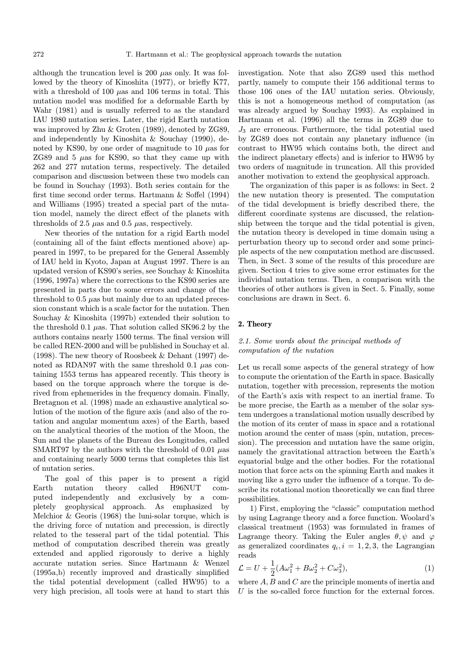although the truncation level is 200  $\mu$ as only. It was followed by the theory of Kinoshita (1977), or briefly K77, with a threshold of 100  $\mu$ as and 106 terms in total. This nutation model was modified for a deformable Earth by Wahr (1981) and is usually referred to as the standard IAU 1980 nutation series. Later, the rigid Earth nutation was improved by Zhu & Groten (1989), denoted by ZG89, and independently by Kinoshita & Souchay (1990), denoted by KS90, by one order of magnitude to 10  $\mu$ as for ZG89 and 5  $\mu$ as for KS90, so that they came up with 262 and 277 nutation terms, respectively. The detailed comparison and discussion between these two models can be found in Souchay (1993). Both series contain for the first time second order terms. Hartmann & Soffel (1994) and Williams (1995) treated a special part of the nutation model, namely the direct effect of the planets with thresholds of 2.5  $\mu$ as and 0.5  $\mu$ as, respectively.

New theories of the nutation for a rigid Earth model (containing all of the faint effects mentioned above) appeared in 1997, to be prepared for the General Assembly of IAU held in Kyoto, Japan at August 1997. There is an updated version of KS90's series, see Souchay & Kinoshita (1996, 1997a) where the corrections to the KS90 series are presented in parts due to some errors and change of the threshold to  $0.5 \mu$ as but mainly due to an updated precession constant which is a scale factor for the nutation. Then Souchay & Kinoshita (1997b) extended their solution to the threshold 0.1  $\mu$ as. That solution called SK96.2 by the authors contains nearly 1500 terms. The final version will be called REN-2000 and will be published in Souchay et al. (1998). The new theory of Roosbeek & Dehant (1997) denoted as RDAN97 with the same threshold 0.1  $\mu$ as containing 1553 terms has appeared recently. This theory is based on the torque approach where the torque is derived from ephemerides in the frequency domain. Finally, Bretagnon et al. (1998) made an exhaustive analytical solution of the motion of the figure axis (and also of the rotation and angular momentum axes) of the Earth, based on the analytical theories of the motion of the Moon, the Sun and the planets of the Bureau des Longitudes, called SMART97 by the authors with the threshold of 0.01  $\mu$ as and containing nearly 5000 terms that completes this list of nutation series.

The goal of this paper is to present a rigid Earth nutation theory called H96NUT computed independently and exclusively by a completely geophysical approach. As emphasized by Melchior & Georis (1968) the luni-solar torque, which is the driving force of nutation and precession, is directly related to the tesseral part of the tidal potential. This method of computation described therein was greatly extended and applied rigorously to derive a highly accurate nutation series. Since Hartmann & Wenzel (1995a,b) recently improved and drastically simplified the tidal potential development (called HW95) to a very high precision, all tools were at hand to start this investigation. Note that also ZG89 used this method partly, namely to compute their 156 additional terms to those 106 ones of the IAU nutation series. Obviously, this is not a homogeneous method of computation (as was already argued by Souchay 1993). As explained in Hartmann et al. (1996) all the terms in ZG89 due to  $J_3$  are erroneous. Furthermore, the tidal potential used by ZG89 does not contain any planetary influence (in contrast to HW95 which contains both, the direct and the indirect planetary effects) and is inferior to HW95 by two orders of magnitude in truncation. All this provided another motivation to extend the geophysical approach.

The organization of this paper is as follows: in Sect. 2 the new nutation theory is presented. The computation of the tidal development is briefly described there, the different coordinate systems are discussed, the relationship between the torque and the tidal potential is given, the nutation theory is developed in time domain using a perturbation theory up to second order and some principle aspects of the new computation method are discussed. Then, in Sect. 3 some of the results of this procedure are given. Section 4 tries to give some error estimates for the individual nutation terms. Then, a comparison with the theories of other authors is given in Sect. 5. Finally, some conclusions are drawn in Sect. 6.

### 2. Theory

# 2.1. Some words about the principal methods of computation of the nutation

Let us recall some aspects of the general strategy of how to compute the orientation of the Earth in space. Basically nutation, together with precession, represents the motion of the Earth's axis with respect to an inertial frame. To be more precise, the Earth as a member of the solar system undergoes a translational motion usually described by the motion of its center of mass in space and a rotational motion around the center of mass (spin, nutation, precession). The precession and nutation have the same origin, namely the gravitational attraction between the Earth's equatorial bulge and the other bodies. For the rotational motion that force acts on the spinning Earth and makes it moving like a gyro under the influence of a torque. To describe its rotational motion theoretically we can find three possibilities.

1) First, employing the "classic" computation method by using Lagrange theory and a force function. Woolard's classical treatment (1953) was formulated in frames of Lagrange theory. Taking the Euler angles  $\theta, \psi$  and  $\varphi$ as generalized coordinates  $q_i, i = 1, 2, 3$ , the Lagrangian reads

$$
\mathcal{L} = U + \frac{1}{2}(A\omega_1^2 + B\omega_2^2 + C\omega_3^2),\tag{1}
$$

where  $A, B$  and  $C$  are the principle moments of inertia and  $U$  is the so-called force function for the external forces.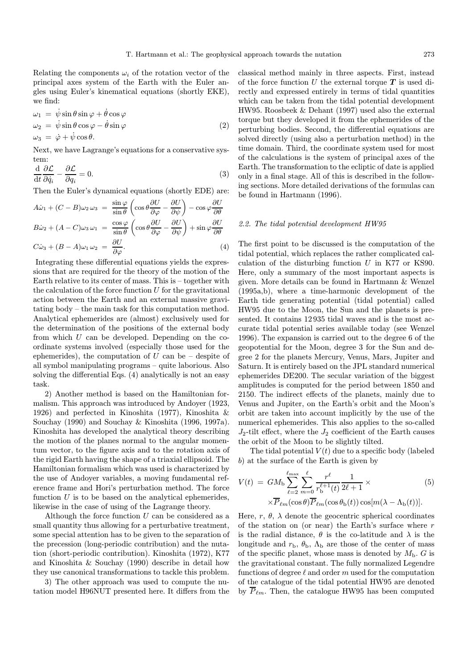Relating the components  $\omega_i$  of the rotation vector of the principal axes system of the Earth with the Euler angles using Euler's kinematical equations (shortly EKE), we find:

$$
\omega_1 = \dot{\psi}\sin\theta\sin\varphi + \dot{\theta}\cos\varphi \n\omega_2 = \dot{\psi}\sin\theta\cos\varphi - \dot{\theta}\sin\varphi \n\omega_3 = \dot{\varphi} + \dot{\psi}\cos\theta.
$$
\n(2)

Next, we have Lagrange's equations for a conservative system:

$$
\frac{\mathrm{d}}{\mathrm{d}t}\frac{\partial \mathcal{L}}{\partial \dot{q}_i} - \frac{\partial \mathcal{L}}{\partial q_i} = 0.
$$
\n(3)

Then the Euler's dynamical equations (shortly EDE) are:

$$
A\dot{\omega}_1 + (C - B)\omega_2 \omega_3 = \frac{\sin \varphi}{\sin \theta} \left( \cos \theta \frac{\partial U}{\partial \varphi} - \frac{\partial U}{\partial \psi} \right) - \cos \varphi \frac{\partial U}{\partial \theta}
$$
  
\n
$$
B\dot{\omega}_2 + (A - C)\omega_3 \omega_1 = \frac{\cos \varphi}{\sin \theta} \left( \cos \theta \frac{\partial U}{\partial \varphi} - \frac{\partial U}{\partial \psi} \right) + \sin \varphi \frac{\partial U}{\partial \theta}
$$
  
\n
$$
C\dot{\omega}_3 + (B - A)\omega_1 \omega_2 = \frac{\partial U}{\partial \varphi}.
$$
 (4)

Integrating these differential equations yields the expressions that are required for the theory of the motion of the Earth relative to its center of mass. This is – together with the calculation of the force function  $U$  for the gravitational action between the Earth and an external massive gravitating body – the main task for this computation method. Analytical ephemerides are (almost) exclusively used for the determination of the positions of the external body from which  $U$  can be developed. Depending on the coordinate systems involved (especially those used for the ephemerides), the computation of  $U$  can be – despite of all symbol manipulating programs – quite laborious. Also solving the differential Eqs. (4) analytically is not an easy task.

2) Another method is based on the Hamiltonian formalism. This approach was introduced by Andoyer (1923, 1926) and perfected in Kinoshita (1977), Kinoshita & Souchay (1990) and Souchay & Kinoshita (1996, 1997a). Kinoshita has developed the analytical theory describing the motion of the planes normal to the angular momentum vector, to the figure axis and to the rotation axis of the rigid Earth having the shape of a triaxial ellipsoid. The Hamiltonian formalism which was used is characterized by the use of Andoyer variables, a moving fundamental reference frame and Hori's perturbation method. The force function  $U$  is to be based on the analytical ephemerides, likewise in the case of using of the Lagrange theory.

Although the force function  $U$  can be considered as a small quantity thus allowing for a perturbative treatment, some special attention has to be given to the separation of the precession (long-periodic contribution) and the nutation (short-periodic contribution). Kinoshita (1972), K77 and Kinoshita & Souchay (1990) describe in detail how they use canonical transformations to tackle this problem.

3) The other approach was used to compute the nutation model H96NUT presented here. It differs from the classical method mainly in three aspects. First, instead of the force function U the external torque  $T$  is used directly and expressed entirely in terms of tidal quantities which can be taken from the tidal potential development HW95. Roosbeek & Dehant (1997) used also the external torque but they developed it from the ephemerides of the perturbing bodies. Second, the differential equations are solved directly (using also a perturbation method) in the time domain. Third, the coordinate system used for most of the calculations is the system of principal axes of the Earth. The transformation to the ecliptic of date is applied only in a final stage. All of this is described in the following sections. More detailed derivations of the formulas can be found in Hartmann (1996).

#### 2.2. The tidal potential development HW95

The first point to be discussed is the computation of the tidal potential, which replaces the rather complicated calculation of the disturbing function  $U$  in K77 or KS90. Here, only a summary of the most important aspects is given. More details can be found in Hartmann & Wenzel (1995a,b), where a time-harmonic development of the Earth tide generating potential (tidal potential) called HW95 due to the Moon, the Sun and the planets is presented. It contains 12 935 tidal waves and is the most accurate tidal potential series available today (see Wenzel 1996). The expansion is carried out to the degree 6 of the geopotential for the Moon, degree 3 for the Sun and degree 2 for the planets Mercury, Venus, Mars, Jupiter and Saturn. It is entirely based on the JPL standard numerical ephemerides DE200. The secular variation of the biggest amplitudes is computed for the period between 1850 and 2150. The indirect effects of the planets, mainly due to Venus and Jupiter, on the Earth's orbit and the Moon's orbit are taken into account implicitly by the use of the numerical ephemerides. This also applies to the so-called  $J_2$ -tilt effect, where the  $J_2$  coefficient of the Earth causes the orbit of the Moon to be slightly tilted.

The tidal potential  $V(t)$  due to a specific body (labeled b) at the surface of the Earth is given by

$$
V(t) = GM_{\rm b} \sum_{\ell=2}^{\ell_{\rm max}} \sum_{m=0}^{\ell} \frac{r^{\ell}}{r_{\rm b}^{\ell+1}(t)} \frac{1}{2\ell+1} \times
$$
\n
$$
\times \overline{P}_{\ell m}(\cos \theta) \overline{P}_{\ell m}(\cos \theta_{\rm b}(t)) \cos[m(\lambda - \Lambda_{\rm b}(t))].
$$
\n(5)

Here, r,  $\theta$ ,  $\lambda$  denote the geocentric spherical coordinates of the station on (or near) the Earth's surface where  $r$ is the radial distance,  $\theta$  is the co-latitude and  $\lambda$  is the longitude and  $r_{\rm b}$ ,  $\theta_{\rm b}$ ,  $\Lambda_{\rm b}$  are those of the center of mass of the specific planet, whose mass is denoted by  $M_{\rm b}$ . G is the gravitational constant. The fully normalized Legendre functions of degree  $\ell$  and order m used for the computation of the catalogue of the tidal potential HW95 are denoted by  $\overline{P}_{\ell m}$ . Then, the catalogue HW95 has been computed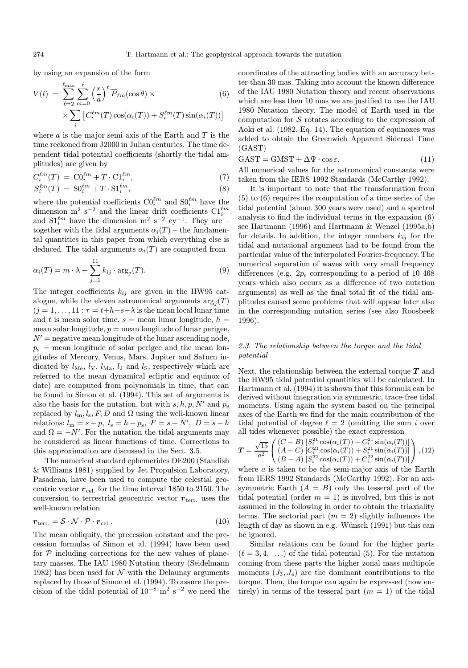by using an expansion of the form

$$
V(t) = \sum_{\ell=2}^{\ell_{\text{max}}} \sum_{m=0}^{\ell} \left(\frac{r}{a}\right)^{\ell} \overline{P}_{\ell m}(\cos \theta) \times \qquad (6)
$$

$$
\times \sum_{i} \left[C_{i}^{\ell m}(T) \cos(\alpha_{i}(T)) + S_{i}^{\ell m}(T) \sin(\alpha_{i}(T))\right]
$$

where  $a$  is the major semi axis of the Earth and  $T$  is the time reckoned from J2000 in Julian centuries. The time dependent tidal potential coefficients (shortly the tidal amplitudes) are given by

$$
C_i^{\ell m}(T) = \mathcal{CO}_i^{\ell m} + T \cdot \mathcal{Cl}_i^{\ell m},\tag{7}
$$

$$
S_i^{\ell m}(T) = \mathrm{SO}_i^{\ell m} + T \cdot \mathrm{SL}_i^{\ell m},\tag{8}
$$

where the potential coefficients  $\mathbf{C0}^{\ell m}_i$  and  $\mathbf{S0}^{\ell m}_i$  have the dimension  $m^2 s^{-2}$  and the linear drift coefficients  $Cl_i^{\ell m}$ and  $S1<sub>i</sub><sup>ℓm</sup>$  have the dimension m<sup>2</sup> s<sup>-2</sup> cy<sup>-1</sup>. They are – together with the tidal arguments  $\alpha_i(T)$  – the fundamental quantities in this paper from which everything else is deduced. The tidal arguments  $\alpha_i(T)$  are computed from

$$
\alpha_i(T) = m \cdot \lambda + \sum_{j=1}^{11} k_{ij} \cdot \arg_j(T). \tag{9}
$$

The integer coefficients  $k_{ij}$  are given in the HW95 catalogue, while the eleven astronomical arguments  $\arg_i(T)$  $(j = 1, \ldots, 11 : \tau = t + h - s - \lambda$  is the mean local lunar time and t is mean solar time,  $s =$  mean lunar longitude,  $h =$ mean solar longitude,  $p =$  mean longitude of lunar perigee,  $N'$  = negative mean longitude of the lunar ascending node,  $p<sub>s</sub>$  = mean longitude of solar perigee and the mean longitudes of Mercury, Venus, Mars, Jupiter and Saturn indicated by  $l_{\text{Me}}$ ,  $l_{\text{V}}$ ,  $l_{\text{Ma}}$ ,  $l_{\text{J}}$  and  $l_{\text{S}}$ , respectively which are referred to the mean dynamical ecliptic and equinox of date) are computed from polynomials in time, that can be found in Simon et al. (1994). This set of arguments is also the basis for the nutation, but with  $s, h, p, N'$  and  $p_s$ replaced by  $l_m, l_s, F, D$  and  $\Omega$  using the well-known linear relations:  $l_m = s - p$ ,  $l_s = h - p_s$ ,  $F = s + N'$ ,  $D = s - h$ and  $\Omega = -N'$ . For the nutation the tidal arguments may be considered as linear functions of time. Corrections to this approximation are discussed in the Sect. 3.5.

The numerical standard ephemerides DE200 (Standish & Williams 1981) supplied by Jet Propulsion Laboratory, Pasadena, have been used to compute the celestial geocentric vector  $r_{\text{cel}}$  for the time interval 1850 to 2150. The conversion to terrestrial geocentric vector  $r_{\text{terr}}$  uses the well-known relation

$$
r_{\text{terr.}} = \mathcal{S} \cdot \mathcal{N} \cdot \mathcal{P} \cdot r_{\text{cel.}}.\tag{10}
$$

The mean obliquity, the precession constant and the precession formulas of Simon et al. (1994) have been used for  $P$  including corrections for the new values of planetary masses. The IAU 1980 Nutation theory (Seidelmann 1982) has been used for  $N$  with the Delaunay arguments replaced by those of Simon et al. (1994). To assure the precision of the tidal potential of  $10^{-8}$  m<sup>2</sup> s<sup>-2</sup> we need the

coordinates of the attracting bodies with an accuracy better than 30 mas. Taking into account the known difference of the IAU 1980 Nutation theory and recent observations which are less then 10 mas we are justified to use the IAU 1980 Nutation theory. The model of Earth used in the computation for  $S$  rotates according to the expression of Aoki et al. (1982, Eq. 14). The equation of equinoxes was added to obtain the Greenwich Apparent Sidereal Time (GAST)

$$
GAST = GMST + \Delta\Psi \cdot \cos \varepsilon. \tag{11}
$$

All numerical values for the astronomical constants were taken from the IERS 1992 Standards (McCarthy 1992).

It is important to note that the transformation from (5) to (6) requires the computation of a time series of the tidal potential (about 300 years were used) and a spectral analysis to find the individual terms in the expansion (6) see Hartmann (1996) and Hartmann & Wenzel (1995a,b) for details. In addition, the integer numbers  $k_{ij}$  for the tidal and nutational argument had to be found from the particular value of the interpolated Fourier-frequency. The numerical separation of waves with very small frequency differences (e.g.  $2p_s$  corresponding to a period of 10 468) years which also occurs as a difference of two nutation arguments) as well as the final total fit of the tidal amplitudes caused some problems that will appear later also in the corresponding nutation series (see also Roosbeek 1996).

# 2.3. The relationship between the torque and the tidal potential

Next, the relationship between the external torque  $T$  and the HW95 tidal potential quantities will be calculated. In Hartmann et al. (1994) it is shown that this formula can be derived without integration via symmetric, trace-free tidal moments. Using again the system based on the principal axes of the Earth we find for the main contribution of the tidal potential of degree  $\ell = 2$  (omitting the sum i over all tides whenever possible) the exact expression

$$
\mathbf{T} = \frac{\sqrt{15}}{a^2} \begin{pmatrix} (C-B) \ [S_i^{21} \cos(\alpha_i(T)) - C_i^{21} \sin(\alpha_i(T))] \\ (A-C) \ [C_i^{21} \cos(\alpha_i(T)) + S_i^{21} \sin(\alpha_i(T))] \\ (B-A) \ [S_i^{22} \cos(\alpha_i(T)) + C_i^{22} \sin(\alpha_i(T))] \end{pmatrix}, (12)
$$

where  $a$  is taken to be the semi-major axis of the Earth from IERS 1992 Standards (McCarthy 1992). For an axisymmetric Earth  $(A = B)$  only the tesseral part of the tidal potential (order  $m = 1$ ) is involved, but this is not assumed in the following in order to obtain the triaxiality terms. The sectorial part  $(m = 2)$  slightly influences the length of day as shown in e.g. Wünsch (1991) but this can be ignored.

Similar relations can be found for the higher parts  $(\ell = 3, 4, \ldots)$  of the tidal potential (5). For the nutation coming from these parts the higher zonal mass multipole moments  $(J_3, J_4)$  are the dominant contributions to the torque. Then, the torque can again be expressed (now entirely) in terms of the tesseral part  $(m = 1)$  of the tidal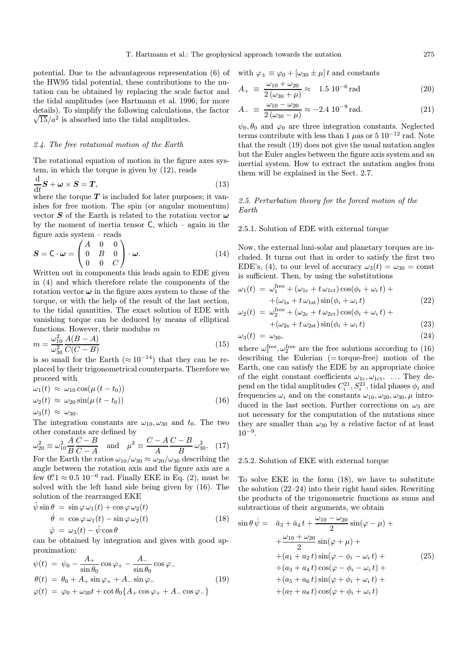potential. Due to the advantageous representation (6) of the HW95 tidal potential, these contributions to the nutation can be obtained by replacing the scale factor and the tidal amplitudes (see Hartmann et al. 1996; for more details). To simplify the following calculations, the factor  $\sqrt{15}/a^2$  is absorbed into the tidal amplitudes.

# 2.4. The free rotational motion of the Earth

The rotational equation of motion in the figure axes system, in which the torque is given by (12), reads

$$
\frac{\mathrm{d}}{\mathrm{d}t}S + \boldsymbol{\omega} \times S = T,\tag{13}
$$

where the torque  $T$  is included for later purposes; it vanishes for free motion. The spin (or angular momentum) vector  $S$  of the Earth is related to the rotation vector  $\omega$ by the moment of inertia tensor  $C$ , which – again in the figure axis system – reads

$$
\mathbf{S} = \mathbf{C} \cdot \boldsymbol{\omega} = \begin{pmatrix} A & 0 & 0 \\ 0 & B & 0 \\ 0 & 0 & C \end{pmatrix} \cdot \boldsymbol{\omega}.\tag{14}
$$

Written out in components this leads again to EDE given in (4) and which therefore relate the components of the rotation vector  $\omega$  in the figure axes system to those of the torque, or with the help of the result of the last section, to the tidal quantities. The exact solution of EDE with vanishing torque can be deduced by means of elliptical functions. However, their modulus  $m$ 

$$
m = \frac{\omega_{10}^2}{\omega_{30}^2} \frac{A(B - A)}{C(C - B)}
$$
(15)

 $\omega_{30}$  ∪(∪ − D)<br>is so small for the Earth (≈ 10<sup>-14</sup>) that they can be replaced by their trigonometrical counterparts. Therefore we proceed with

$$
\omega_1(t) \approx \omega_{10} \cos(\mu (t - t_0))
$$
  
\n
$$
\omega_2(t) \approx \omega_{20} \sin(\mu (t - t_0))
$$
\n(16)

$$
\omega_3(t) \approx \omega_{30}.
$$

The integration constants are  $\omega_{10}, \omega_{30}$  and  $t_0$ . The two other constants are defined by

$$
\omega_{20}^2 \equiv \omega_{10}^2 \frac{A C - B}{B C - A} \quad \text{and} \quad \mu^2 \equiv \frac{C - A C - B}{A} \omega_{30}^2. \tag{17}
$$

For the Earth the ratios  $\omega_{10}/\omega_{30} \approx \omega_{20}/\omega_{30}$  describing the angle between the rotation axis and the figure axis are a few  $0.1 \approx 0.5 \times 10^{-6}$  rad. Finally EKE in Eq. (2), must be solved with the left hand side being given by (16). The solution of the rearranged EKE

$$
\dot{\psi}\sin\theta = \sin\varphi \,\omega_1(t) + \cos\varphi \,\omega_2(t) \n\dot{\theta} = \cos\varphi \,\omega_1(t) - \sin\varphi \,\omega_2(t) \n\dot{\varphi} = \omega_3(t) - \dot{\psi}\cos\theta
$$
\n(18)

can be obtained by integration and gives with good approximation:

$$
\psi(t) = \psi_0 - \frac{A_+}{\sin \theta_0} \cos \varphi_+ - \frac{A_-}{\sin \theta_0} \cos \varphi_- \n\theta(t) = \theta_0 + A_+ \sin \varphi_+ + A_- \sin \varphi_- \n\varphi(t) = \varphi_0 + \omega_{30} t + \cot \theta_0 \{A_+ \cos \varphi_+ + A_- \cos \varphi_-\}
$$
\n(19)

with 
$$
\varphi_{\pm} \equiv \varphi_0 + [\omega_{30} \pm \mu] t
$$
 and constants

$$
A_{+} \equiv \frac{\omega_{10} + \omega_{20}}{2(\omega_{30} + \mu)} \approx 1.5 \, 10^{-6} \, \text{rad}
$$
 (20)

$$
A_{-} \equiv \frac{\omega_{10} - \omega_{20}}{2(\omega_{30} - \mu)} \approx -2.4 \, 10^{-9} \, \text{rad.} \tag{21}
$$

 $\psi_0, \theta_0$  and  $\varphi_0$  are three integration constants. Neglected terms contribute with less than 1  $\mu$ as or 5 10<sup>-12</sup> rad. Note that the result (19) does not give the usual nutation angles but the Euler angles between the figure axis system and an inertial system. How to extract the nutation angles from them will be explained in the Sect. 2.7.

# 2.5. Perturbation theory for the forced motion of the Earth

#### 2.5.1. Solution of EDE with external torque

Now, the external luni-solar and planetary torques are included. It turns out that in order to satisfy the first two EDE's, (4), to our level of accuracy  $\omega_3(t) = \omega_{30} = \text{const}$ is sufficient. Then, by using the substitutions

$$
\omega_1(t) = \omega_1^{\text{free}} + (\omega_{1c} + t \omega_{1ct}) \cos(\phi_i + \omega_i t) + + (\omega_{1s} + t \omega_{1st}) \sin(\phi_i + \omega_i t)
$$
\n(22)

$$
\omega_2(t) = \omega_2^{\text{free}} + (\omega_{2\text{c}} + t \omega_{2\text{ct}}) \cos(\phi_i + \omega_i t) +
$$
  
+ (\omega\_{2\text{s}} + t \omega\_{2\text{st}}) \sin(\phi\_i + \omega\_i t) \tag{23}

$$
\omega_3(t) = \omega_{30},\tag{24}
$$

where  $\omega_1^{\text{free}}, \omega_2^{\text{free}}$  are the free solutions according to (16) describing the Eulerian  $(= torque-free)$  motion of the Earth, one can satisfy the EDE by an appropriate choice of the eight constant coefficients  $\omega_{1c}, \omega_{1ct}, \ldots$  They depend on the tidal amplitudes  $C_i^{21}, S_i^{21}$ , tidal phases  $\phi_i$  and frequencies  $\omega_i$  and on the constants  $\omega_{10}, \omega_{20}, \omega_{30}, \mu$  introduced in the last section. Further corrections on  $\omega_3$  are not necessary for the computation of the nutations since they are smaller than  $\omega_{30}$  by a relative factor of at least  $10^{-9}$ .

# 2.5.2. Solution of EKE with external torque

To solve EKE in the form (18), we have to substitute the solution (22–24) into their right hand sides. Rewriting the products of the trigonometric functions as sums and subtractions of their arguments, we obtain

$$
\sin \theta \dot{\psi} = \bar{a}_3 + \bar{a}_4 t + \frac{\omega_{10} - \omega_{20}}{2} \sin(\varphi - \mu) + \n+ \frac{\omega_{10} + \omega_{20}}{2} \sin(\varphi + \mu) + \n+ (a_1 + a_2 t) \sin(\varphi - \phi_i - \omega_i t) + \n+ (a_3 + a_4 t) \cos(\varphi - \phi_i - \omega_i t) + \n+ (a_5 + a_6 t) \sin(\varphi + \phi_i + \omega_i t) + \n+ (a_7 + a_8 t) \cos(\varphi + \phi_i + \omega_i t)
$$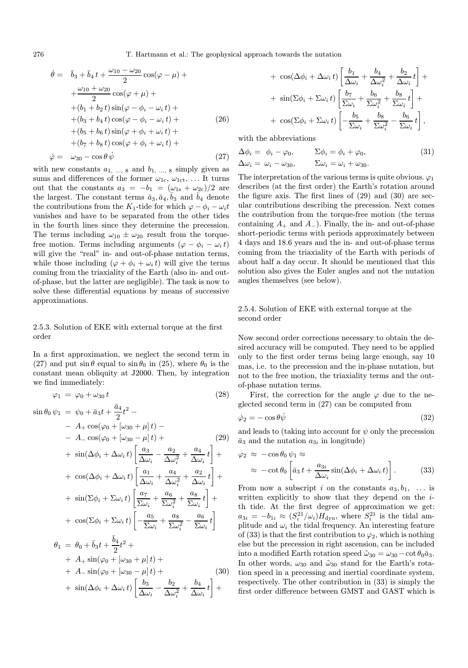276 T. Hartmann et al.: The geophysical approach towards the nutation

$$
\dot{\theta} = \bar{b}_3 + \bar{b}_4 t + \frac{\omega_{10} - \omega_{20}}{2} \cos(\varphi - \mu) + \n+ \frac{\omega_{10} + \omega_{20}}{2} \cos(\varphi + \mu) + \n+ (b_1 + b_2 t) \sin(\varphi - \phi_i - \omega_i t) + \n+ (b_3 + b_4 t) \cos(\varphi - \phi_i - \omega_i t) + \n+ (b_5 + b_6 t) \sin(\varphi + \phi_i + \omega_i t) + \n+ (b_7 + b_8 t) \cos(\varphi + \phi_i + \omega_i t) + \n\dot{\varphi} = \omega_{30} - \cos \theta \dot{\psi}
$$
\n(27)

with new constants  $a_1, ..., s$  and  $b_1, ..., s$  simply given as sums and differences of the former  $\omega_{1c}$ ,  $\omega_{1ct}$ , ... It turns out that the constants  $a_3 = -b_1 = (\omega_{1s} + \omega_{2c})/2$  are the largest. The constant terms  $\bar{a}_3, \bar{a}_4, \bar{b}_3$  and  $\bar{b}_4$  denote the contributions from the K<sub>1</sub>-tide for which  $\varphi - \phi_i - \omega_i t$ vanishes and have to be separated from the other tides in the fourth lines since they determine the precession. The terms including  $\omega_{10} \pm \omega_{20}$  result from the torquefree motion. Terms including arguments  $(\varphi - \phi_i - \omega_i t)$ will give the "real" in- and out-of-phase nutation terms, while those including  $(\varphi + \phi_i + \omega_i t)$  will give the terms coming from the triaxiality of the Earth (also in- and outof-phase, but the latter are negligible). The task is now to solve these differential equations by means of successive approximations.

# 2.5.3. Solution of EKE with external torque at the first order

In a first approximation, we neglect the second term in (27) and put  $\sin \theta$  equal to  $\sin \theta_0$  in (25), where  $\theta_0$  is the constant mean obliquity at J2000. Then, by integration we find immediately:

 $\overline{a}$ <sup>4</sup>

$$
\varphi_1 = \varphi_0 + \omega_{30} t \tag{28}
$$

$$
\sin \theta_0 \psi_1 = \psi_0 + \bar{a}_3 t + \frac{a_4}{2} t^2 -
$$
\n
$$
- A_+ \cos(\varphi_0 + [\omega_{30} + \mu] t) -
$$
\n
$$
- A_- \cos(\varphi_0 + [\omega_{30} - \mu] t) +
$$
\n
$$
+ \sin(\Delta \phi_i + \Delta \omega_i t) \left[ \frac{a_3}{\Delta \omega_i} - \frac{a_2}{\Delta \omega_i^2} + \frac{a_4}{\Delta \omega_i} t \right] +
$$
\n
$$
+ \cos(\Delta \phi_i + \Delta \omega_i t) \left[ \frac{a_1}{\Delta \omega_i} + \frac{a_4}{\Delta \omega_i^2} + \frac{a_2}{\Delta \omega_i} t \right] +
$$
\n
$$
+ \sin(\Sigma \phi_i + \Sigma \omega_i t) \left[ \frac{a_7}{\Sigma \omega_i} + \frac{a_6}{\Sigma \omega_i^2} + \frac{a_8}{\Sigma \omega_i} t \right] +
$$
\n
$$
+ \cos(\Sigma \phi_i + \Sigma \omega_i t) \left[ -\frac{a_5}{\Sigma \omega_i} + \frac{a_8}{\Sigma \omega_i^2} - \frac{a_6}{\Sigma \omega_i} t \right]
$$
\n
$$
\theta_1 = \theta_0 + \bar{b}_3 t + \frac{\bar{b}_4}{2} t^2 +
$$
\n
$$
+ A_+ \sin(\varphi_0 + [\omega_{30} + \mu] t) +
$$
\n
$$
+ A_- \sin(\varphi_0 + [\omega_{30} - \mu] t) +
$$
\n(30)

+ 
$$
\sin(\Delta \phi_i + \Delta \omega_i t) \left[ \frac{b_3}{\Delta \omega_i} - \frac{b_2}{\Delta \omega_i^2} + \frac{b_4}{\Delta \omega_i} t \right] +
$$

+ 
$$
\cos(\Delta \phi_i + \Delta \omega_i t)
$$
  $\left[ \frac{b_1}{\Delta \omega_i} + \frac{b_4}{\Delta \omega_i^2} + \frac{b_2}{\Delta \omega_i} t \right]$  +  
+  $\sin(\Sigma \phi_i + \Sigma \omega_i t)$   $\left[ \frac{b_7}{\Sigma \omega_i} + \frac{b_6}{\Sigma \omega_i^2} + \frac{b_8}{\Sigma \omega_i} t \right]$  +  
+  $\cos(\Sigma \phi_i + \Sigma \omega_i t)$   $\left[ -\frac{b_5}{\Sigma \omega_i} + \frac{b_8}{\Sigma \omega_i^2} - \frac{b_6}{\Sigma \omega_i} t \right]$ ,

with the abbreviations

$$
\Delta \phi_i = \phi_i - \varphi_0, \qquad \Sigma \phi_i = \phi_i + \varphi_0, \qquad (31)
$$
  

$$
\Delta \omega_i = \omega_i - \omega_{30}, \qquad \Sigma \omega_i = \omega_i + \omega_{30}.
$$

The interpretation of the various terms is quite obvious.  $\varphi_1$ describes (at the first order) the Earth's rotation around the figure axis. The first lines of (29) and (30) are secular contributions describing the precession. Next comes the contribution from the torque-free motion (the terms containing  $A_+$  and  $A_-$ ). Finally, the in- and out-of-phase short-periodic terms with periods approximately between 4 days and 18.6 years and the in- and out-of-phase terms coming from the triaxiality of the Earth with periods of about half a day occur. It should be mentioned that this solution also gives the Euler angles and not the nutation angles themselves (see below).

# 2.5.4. Solution of EKE with external torque at the second order

Now second order corrections necessary to obtain the desired accuracy will be computed. They need to be applied only to the first order terms being large enough, say 10 mas, i.e. to the precession and the in-phase nutation, but not to the free motion, the triaxiality terms and the outof-phase nutation terms.

First, the correction for the angle  $\varphi$  due to the neglected second term in (27) can be computed from

$$
\dot{\varphi}_2 = -\cos\theta \dot{\psi} \tag{32}
$$

and leads to (taking into account for  $\psi$  only the precession  $\bar{a}_3$  and the nutation  $a_{3i}$  in longitude)

$$
\varphi_2 \approx -\cos\theta_0 \psi_1 \approx
$$
  
 
$$
\approx -\cot\theta_0 \left[ \bar{a}_3 t + \frac{a_{3i}}{\Delta \omega_i} \sin(\Delta \phi_i + \Delta \omega_i t) \right].
$$
 (33)

From now a subscript i on the constants  $a_3, b_1, \ldots$  is written explicitly to show that they depend on the *i*th tide. At the first degree of approximation we get:  $a_{3i} = -b_{1i} \approx (S_i^{21} / \omega_i) H_{\text{dyn}}$ , where  $S_i^{21}$  is the tidal amplitude and  $\omega_i$  the tidal frequency. An interesting feature of (33) is that the first contribution to  $\varphi_2$ , which is nothing else but the precession in right ascension, can be included into a modified Earth rotation speed  $\tilde{\omega}_{30} = \omega_{30} - \cot \theta_0 \bar{a}_3$ . In other words,  $\omega_{30}$  and  $\tilde{\omega}_{30}$  stand for the Earth's rotation speed in a precessing and inertial coordinate system, respectively. The other contribution in (33) is simply the first order difference between GMST and GAST which is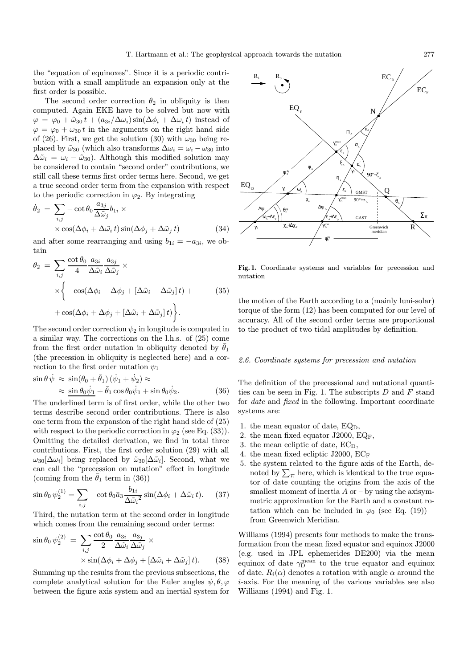the "equation of equinoxes". Since it is a periodic contribution with a small amplitude an expansion only at the first order is possible.

The second order correction  $\theta_2$  in obliquity is then computed. Again EKE have to be solved but now with  $\varphi = \varphi_0 + \tilde{\omega}_{30} t + (a_{3i}/\Delta \omega_i) \sin(\Delta \phi_i + \Delta \omega_i t)$  instead of  $\varphi = \varphi_0 + \omega_{30} t$  in the arguments on the right hand side of (26). First, we get the solution (30) with  $\omega_{30}$  being replaced by  $\tilde{\omega}_{30}$  (which also transforms  $\Delta \omega_i = \omega_i - \omega_{30}$  into  $\Delta \tilde{\omega}_i = \omega_i - \tilde{\omega}_{30}$ . Although this modified solution may be considered to contain "second order" contributions, we still call these terms first order terms here. Second, we get a true second order term from the expansion with respect to the periodic correction in  $\varphi_2$ . By integrating

$$
\dot{\theta}_2 = \sum_{i,j} -\cot \theta_0 \frac{a_{3j}}{\Delta \tilde{\omega}_j} b_{1i} \times \times \cos(\Delta \phi_i + \Delta \tilde{\omega}_i t) \sin(\Delta \phi_j + \Delta \tilde{\omega}_j t) \tag{34}
$$

and after some rearranging and using  $b_{1i} = -a_{3i}$ , we obtain

$$
\theta_2 = \sum_{i,j} \frac{\cot \theta_0}{4} \frac{a_{3i}}{\Delta \tilde{\omega}_i} \frac{a_{3j}}{\Delta \tilde{\omega}_j} \times \times \left\{ -\cos(\Delta \phi_i - \Delta \phi_j + [\Delta \tilde{\omega}_i - \Delta \tilde{\omega}_j]t) + \cos(\Delta \phi_i + \Delta \phi_j + [\Delta \tilde{\omega}_i + \Delta \tilde{\omega}_j]t) \right\}.
$$
\n(35)

The second order correction  $\psi_2$  in longitude is computed in a similar way. The corrections on the l.h.s. of (25) come from the first order nutation in obliquity denoted by  $\bar{\theta}_1$ (the precession in obliquity is neglected here) and a correction to the first order nutation  $\psi_1$ 

$$
\sin \theta \dot{\psi} \approx \sin(\theta_0 + \bar{\theta}_1) (\dot{\psi}_1 + \dot{\psi}_2) \approx \approx \frac{\sin \theta_0 \dot{\psi}_1 + \bar{\theta}_1 \cos \theta_0 \dot{\psi}_1 + \sin \theta_0 \dot{\psi}_2. \tag{36}
$$

The underlined term is of first order, while the other two terms describe second order contributions. There is also one term from the expansion of the right hand side of (25) with respect to the periodic correction in  $\varphi_2$  (see Eq. (33)). Omitting the detailed derivation, we find in total three contributions. First, the first order solution (29) with all  $\omega_{30}[\Delta\omega_i]$  being replaced by  $\tilde{\omega}_{30}[\Delta\tilde{\omega}_i]$ . Second, what we can call the "precession on nutation" effect in longitude (coming from the  $\theta_1$  term in (36))

$$
\sin \theta_0 \,\psi_2^{(1)} = \sum_{i,j} -\cot \theta_0 \bar{a}_3 \frac{b_{1i}}{\Delta \tilde{\omega}_i^2} \sin(\Delta \phi_i + \Delta \tilde{\omega}_i \, t). \tag{37}
$$

Third, the nutation term at the second order in longitude which comes from the remaining second order terms:

$$
\sin \theta_0 \psi_2^{(2)} = \sum_{i,j} \frac{\cot \theta_0}{2} \frac{a_{3i}}{\Delta \tilde{\omega}_i} \frac{a_{3j}}{\Delta \tilde{\omega}_j} \times \n\times \sin(\Delta \phi_i + \Delta \phi_j + [\Delta \tilde{\omega}_i + \Delta \tilde{\omega}_j] t).
$$
\n(38)

Summing up the results from the previous subsections, the complete analytical solution for the Euler angles  $\psi, \theta, \varphi$ between the figure axis system and an inertial system for



Fig. 1. Coordinate systems and variables for precession and nutation

the motion of the Earth according to a (mainly luni-solar) torque of the form (12) has been computed for our level of accuracy. All of the second order terms are proportional to the product of two tidal amplitudes by definition.

# 2.6. Coordinate systems for precession and nutation

The definition of the precessional and nutational quantities can be seen in Fig. 1. The subscripts  $D$  and  $F$  stand for date and fixed in the following. Important coordinate systems are:

- 1. the mean equator of date,  $EQ<sub>D</sub>$ ,
- 2. the mean fixed equator J2000,  $EQ_F$ ,
- 3. the mean ecliptic of date,  $EC_D$ ,
- 4. the mean fixed ecliptic J2000,  $EC_F$
- 5. the system related to the figure axis of the Earth, denoted by  $\sum_{\pi}$  here, which is identical to the true equator of date counting the origins from the axis of the smallest moment of inertia  $A$  or  $-$  by using the axisymmetric approximation for the Earth and a constant rotation which can be included in  $\varphi_0$  (see Eq. (19)) – from Greenwich Meridian.

Williams (1994) presents four methods to make the transformation from the mean fixed equator and equinox J2000 (e.g. used in JPL ephemerides DE200) via the mean equinox of date  $\gamma_{\rm D}^{\rm mean}$  to the true equator and equinox of date.  $R_i(\alpha)$  denotes a rotation with angle  $\alpha$  around the i-axis. For the meaning of the various variables see also Williams (1994) and Fig. 1.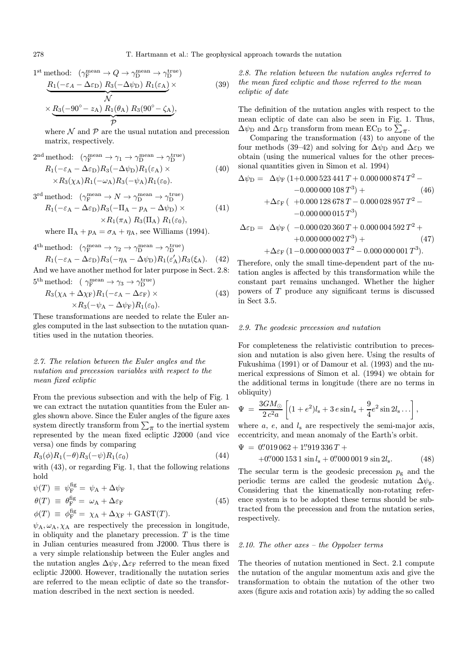1<sup>st</sup> method: 
$$
(\gamma_F^{\text{mean}} \to Q \to \gamma_D^{\text{mean}} \to \gamma_D^{\text{true}})
$$
  
\n
$$
\underbrace{R_1(-\varepsilon_A - \Delta \varepsilon_D) R_3(-\Delta \psi_D) R_1(\varepsilon_A)}_{\mathcal{N}} \times \underbrace{R_3(-90^\circ - z_A) R_1(\theta_A) R_3(90^\circ - \zeta_A)}_{\mathcal{P}},
$$
\n(39)

where  $N$  and  $P$  are the usual nutation and precession matrix, respectively.

$$
2nd method: \ (\gamma_Fmean \to \gamma_1 \to \gamma_Dmean \to \gamma_Dtrue)\nR_1(-\varepsilon_A - \Delta \varepsilon_D)R_3(-\Delta \psi_D)R_1(\varepsilon_A) \times \times R_3(\chi_A)R_1(-\omega_A)R_3(-\psi_A)R_1(\varepsilon_0).
$$
\n(40)

$$
3^{\text{rd}} \text{ method:} \quad (\gamma_F^{\text{mean}} \to N \to \gamma_D^{\text{mean}} \to \gamma_D^{\text{true}})
$$
\n
$$
R_1(-\varepsilon_A - \Delta \varepsilon_D)R_3(-\Pi_A - p_A - \Delta \psi_D) \times
$$
\n
$$
\times R_1(\pi_A) R_3(\Pi_A) R_1(\varepsilon_0),
$$
\n(41)

where 
$$
\Pi_A + p_A = \sigma_A + \eta_A
$$
, see Williams (1994).

$$
4^{\text{th}}\text{method: } \left(\gamma_{\text{F}}^{\text{mean}} \to \gamma_2 \to \gamma_{\text{D}}^{\text{mean}} \to \gamma_{\text{D}}^{\text{true}}\right) R_1(-\varepsilon_A - \Delta \varepsilon_{\text{D}})R_3(-\eta_A - \Delta \psi_{\text{D}})R_1(\varepsilon_A')R_3(\xi_A). \quad (42)
$$

And we have another method for later purpose in Sect. 2.8:  $5^{\text{th}}$  method:  $(\gamma_{\text{F}}^{\text{mean}} \to \gamma_3 \to \gamma_{\text{D}}^{\text{true}})$ 

$$
R_3(\chi_A + \Delta \chi_F)R_1(-\varepsilon_A - \Delta \varepsilon_F) \times
$$
  
 
$$
\times R_3(-\psi_A - \Delta \psi_F)R_1(\varepsilon_0).
$$
 (43)

These transformations are needed to relate the Euler angles computed in the last subsection to the nutation quantities used in the nutation theories.

# 2.7. The relation between the Euler angles and the nutation and precession variables with respect to the mean fixed ecliptic

From the previous subsection and with the help of Fig. 1 we can extract the nutation quantities from the Euler angles shown above. Since the Euler angles of the figure axes system directly transform from  $\sum_{\pi}$  to the inertial system represented by the mean fixed ecliptic J2000 (and vice versa) one finds by comparing

$$
R_3(\phi)R_1(-\theta)R_3(-\psi)R_1(\varepsilon_0) \tag{44}
$$

with (43), or regarding Fig. 1, that the following relations hold

$$
\psi(T) \equiv \psi_{\rm F}^{\rm fg} = \psi_{\rm A} + \Delta \psi_{\rm F}
$$
  
\n
$$
\theta(T) \equiv \theta_{\rm F}^{\rm fg} = \omega_{\rm A} + \Delta \varepsilon_{\rm F}
$$
  
\n
$$
\phi(T) \equiv \phi_{\rm F}^{\rm fg} = \chi_{\rm A} + \Delta \chi_{\rm F} + \text{GAST}(T).
$$
\n(45)

 $\psi_A, \omega_A, \chi_A$  are respectively the precession in longitude, in obliquity and the planetary precession.  $T$  is the time in Julian centuries measured from J2000. Thus there is a very simple relationship between the Euler angles and the nutation angles  $\Delta \psi_{\rm F}$ ,  $\Delta \varepsilon_{\rm F}$  referred to the mean fixed ecliptic J2000. However, traditionally the nutation series are referred to the mean ecliptic of date so the transformation described in the next section is needed.

2.8. The relation between the nutation angles referred to the mean fixed ecliptic and those referred to the mean ecliptic of date

The definition of the nutation angles with respect to the mean ecliptic of date can also be seen in Fig. 1. Thus,  $\Delta\psi_{\rm D}$  and  $\Delta\varepsilon_{\rm D}$  transform from mean EC<sub>D</sub> to  $\sum_{\pi}$ .

Comparing the transformation (43) to anyone of the four methods (39–42) and solving for  $\Delta \psi_D$  and  $\Delta \varepsilon_D$  we obtain (using the numerical values for the other precessional quantities given in Simon et al. 1994)

$$
\Delta \psi_{\rm D} = \Delta \psi_{\rm F} (1+0.000523441 T + 0.000000874 T^2 - -0.0000000108 T^3) + (46) + \Delta \varepsilon_{\rm F} (1+0.000128678 T - 0.000028957 T^2 - -0.000000015 T^3)
$$

$$
\Delta \varepsilon_{\text{D}} = \Delta \psi_{\text{F}} \left( -0.000\,020\,360\,T + 0.000\,004\,592\,T^2 + \right. \\ \left. + 0.000\,000\,002\,T^3 \right) + \left. - \left( 47 \right) \\ \left. + \Delta \varepsilon_{\text{F}} \left( 1 - 0.000\,000\,003\,T^2 - 0.000\,000\,001\,T^3 \right) . \right.
$$

Therefore, only the small time-dependent part of the nutation angles is affected by this transformation while the constant part remains unchanged. Whether the higher powers of T produce any significant terms is discussed in Sect 3.5.

# 2.9. The geodesic precession and nutation

For completeness the relativistic contribution to precession and nutation is also given here. Using the results of Fukushima (1991) or of Damour et al. (1993) and the numerical expressions of Simon et al. (1994) we obtain for the additional terms in longitude (there are no terms in obliquity)

$$
\Psi = \frac{3GM_{\odot}}{2c^2a} \left[ (1+e^2)l_s + 3e\sin l_s + \frac{9}{4}e^2\sin 2l_s \ldots \right],
$$

where  $a, e,$  and  $l_s$  are respectively the semi-major axis, eccentricity, and mean anomaly of the Earth's orbit.

$$
\Psi = 0\rlap.{''}019\,062 + 1\rlap.{''}919\,336\,T +
$$

$$
+0\rlap.{''}000\,153\,1\,\sin l_{\rm s} + 0\rlap.{''}000\,001\,9\,\sin 2l_{\rm s}.\tag{48}
$$

The secular term is the geodesic precession  $p<sub>g</sub>$  and the periodic terms are called the geodesic nutation  $\Delta \psi_{\rm g}$ . Considering that the kinematically non-rotating reference system is to be adopted these terms should be subtracted from the precession and from the nutation series, respectively.

# 2.10. The other axes – the Oppolzer terms

The theories of nutation mentioned in Sect. 2.1 compute the nutation of the angular momentum axis and give the transformation to obtain the nutation of the other two axes (figure axis and rotation axis) by adding the so called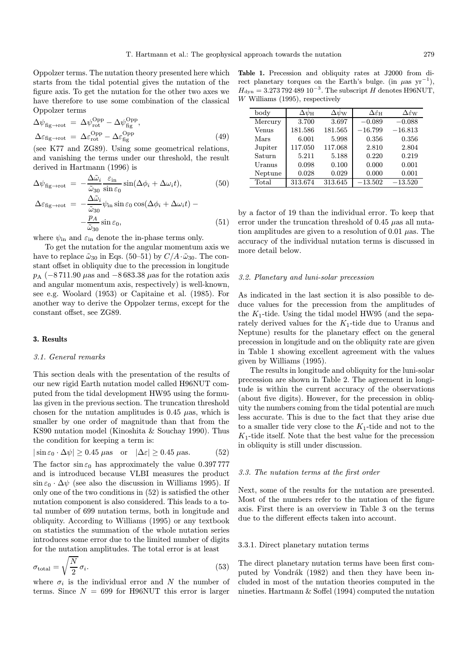Oppolzer terms. The nutation theory presented here which starts from the tidal potential gives the nutation of the figure axis. To get the nutation for the other two axes we have therefore to use some combination of the classical Oppolzer terms

$$
\Delta \psi_{\text{fig}\to \text{rot}} = \Delta \psi_{\text{rot}}^{\text{Opp}} - \Delta \psi_{\text{fig}}^{\text{Opp}},
$$
  

$$
\Delta \varepsilon_{\text{fig}\to \text{rot}} = \Delta \varepsilon_{\text{rot}}^{\text{Opp}} - \Delta \varepsilon_{\text{fig}}^{\text{Opp}}
$$
(49)

(see K77 and ZG89). Using some geometrical relations, and vanishing the terms under our threshold, the result derived in Hartmann (1996) is

$$
\Delta \psi_{\text{fig}\to \text{rot}} = -\frac{\Delta \tilde{\omega}_i}{\tilde{\omega}_{30}} \frac{\varepsilon_{\text{in}}}{\sin \varepsilon_0} \sin(\Delta \phi_i + \Delta \omega_i t), \qquad (50)
$$

$$
\Delta \varepsilon_{\text{fig}\to \text{rot}} = -\frac{\Delta \tilde{\omega}_i}{\tilde{\omega}_{30}} \psi_{\text{in}} \sin \varepsilon_0 \cos(\Delta \phi_i + \Delta \omega_i t) - \frac{p_A}{\tilde{\omega}_{30}} \sin \varepsilon_0, \qquad (51)
$$

where  $\psi_{\text{in}}$  and  $\varepsilon_{\text{in}}$  denote the in-phase terms only.

To get the nutation for the angular momentum axis we have to replace  $\tilde{\omega}_{30}$  in Eqs. (50–51) by  $C/A \cdot \tilde{\omega}_{30}$ . The constant offset in obliquity due to the precession in longitude  $p_A$  (−8.711.90  $\mu$ as and −8.683.38  $\mu$ as for the rotation axis and angular momentum axis, respectively) is well-known, see e.g. Woolard (1953) or Capitaine et al. (1985). For another way to derive the Oppolzer terms, except for the constant offset, see ZG89.

# 3. Results

# 3.1. General remarks

This section deals with the presentation of the results of our new rigid Earth nutation model called H96NUT computed from the tidal development HW95 using the formulas given in the previous section. The truncation threshold chosen for the nutation amplitudes is 0.45  $\mu$ as, which is smaller by one order of magnitude than that from the KS90 nutation model (Kinoshita & Souchay 1990). Thus the condition for keeping a term is:

$$
|\sin \varepsilon_0 \cdot \Delta \psi| \ge 0.45 \text{ } \mu \text{as} \quad \text{or} \quad |\Delta \varepsilon| \ge 0.45 \text{ } \mu \text{as.} \tag{52}
$$

The factor  $\sin \varepsilon_0$  has approximately the value 0.397 777 and is introduced because VLBI measures the product  $\sin \varepsilon_0 \cdot \Delta \psi$  (see also the discussion in Williams 1995). If only one of the two conditions in (52) is satisfied the other nutation component is also considered. This leads to a total number of 699 nutation terms, both in longitude and obliquity. According to Williams (1995) or any textbook on statistics the summation of the whole nutation series introduces some error due to the limited number of digits for the nutation amplitudes. The total error is at least

$$
\sigma_{\text{total}} = \sqrt{\frac{N}{2}} \,\sigma_i. \tag{53}
$$

where  $\sigma_i$  is the individual error and N the number of terms. Since  $N = 699$  for H96NUT this error is larger

Table 1. Precession and obliquity rates at J2000 from direct planetary torques on the Earth's bulge. (in  $\mu$ as yr<sup>-1</sup>),  $H_{\text{dyn}} = 3.27379248910^{-3}$ . The subscript H denotes H96NUT, W Williams (1995), respectively

| body    | $\Delta \psi_{\rm H}$ | $\Delta\psi_{\rm W}$ | $\Delta\varepsilon_{\rm H}$ | $\Delta \dot{\varepsilon}_{\rm W}$ |
|---------|-----------------------|----------------------|-----------------------------|------------------------------------|
| Mercury | 3.700                 | 3.697                | $-0.089$                    | $-0.088$                           |
| Venus   | 181.586               | 181.565              | $-16.799$                   | $-16.813$                          |
| Mars    | 6.001                 | 5.998                | 0.356                       | 0.356                              |
| Jupiter | 117.050               | 117.068              | 2.810                       | 2.804                              |
| Saturn  | 5.211                 | 5.188                | 0.220                       | 0.219                              |
| Uranus  | 0.098                 | 0.100                | 0.000                       | 0.001                              |
| Neptune | 0.028                 | 0.029                | 0.000                       | 0.001                              |
| Total   | 313.674               | 313.645              | $-13.\overline{502}$        | $-13.520$                          |

by a factor of 19 than the individual error. To keep that error under the truncation threshold of 0.45  $\mu$ as all nutation amplitudes are given to a resolution of 0.01  $\mu$ as. The accuracy of the individual nutation terms is discussed in more detail below.

#### 3.2. Planetary and luni-solar precession

As indicated in the last section it is also possible to deduce values for the precession from the amplitudes of the  $K_1$ -tide. Using the tidal model HW95 (and the separately derived values for the  $K_1$ -tide due to Uranus and Neptune) results for the planetary effect on the general precession in longitude and on the obliquity rate are given in Table 1 showing excellent agreement with the values given by Williams (1995).

The results in longitude and obliquity for the luni-solar precession are shown in Table 2. The agreement in longitude is within the current accuracy of the observations (about five digits). However, for the precession in obliquity the numbers coming from the tidal potential are much less accurate. This is due to the fact that they arise due to a smaller tide very close to the  $K_1$ -tide and not to the  $K_1$ -tide itself. Note that the best value for the precession in obliquity is still under discussion.

# 3.3. The nutation terms at the first order

Next, some of the results for the nutation are presented. Most of the numbers refer to the nutation of the figure axis. First there is an overview in Table 3 on the terms due to the different effects taken into account.

# 3.3.1. Direct planetary nutation terms

The direct planetary nutation terms have been first computed by Vondrák (1982) and then they have been included in most of the nutation theories computed in the nineties. Hartmann & Soffel (1994) computed the nutation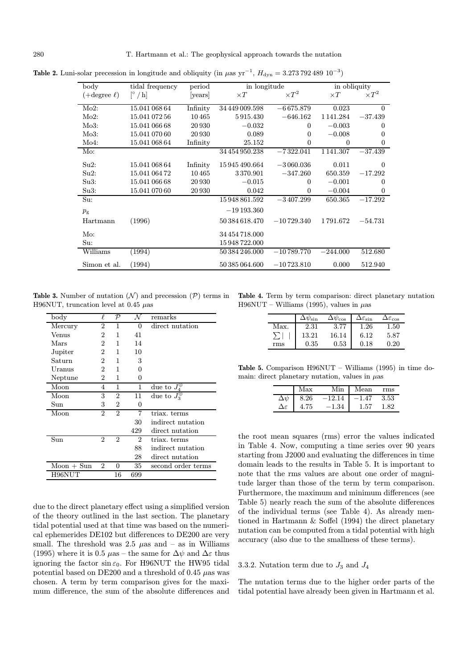| body             | tidal frequency                    | period   | in longitude   |                | in obliquity    |                  |
|------------------|------------------------------------|----------|----------------|----------------|-----------------|------------------|
| $(+degree \ell)$ | $\lceil \degree / \text{h} \rceil$ | [years]  | $\times T$     | $\times T^{2}$ | $\times T$      | $\times T^2$     |
| Mo2:             | 15.041 068 64                      | Infinity | 34 449 009.598 | $-6675.879$    | 0.023           | $\Omega$         |
| Mo2:             | 15.041 072 56                      | 10465    | 5915.430       | $-646.162$     | 1 1 4 1 . 2 8 4 | $-37.439$        |
| Mo3:             | 15.041 066 68                      | 20 930   | $-0.032$       | 0              | $-0.003$        | 0                |
| Mo3:             | 15.041 070 60                      | 20 930   | 0.089          | $\Omega$       | $-0.008$        | 0                |
| Mo4:             | 15.041 068 64                      | Infinity | 25.152         | $\overline{0}$ | $\theta$        | $\boldsymbol{0}$ |
| Mo:              |                                    |          | 34 454 950.238 | $-7322.041$    | 1 1 4 1 . 30 7  | $-37.439$        |
| Su2:             | 15.041 068 64                      | Infinity | 15945490.664   | $-3060.036$    | 0.011           | $\Omega$         |
| Su2:             | 15.041 064 72                      | 10465    | 3370.901       | $-347.260$     | 650.359         | $-17.292$        |
| Su3:             | 15.041 066 68                      | 20 930   | $-0.015$       | $\overline{0}$ | $-0.001$        | $\boldsymbol{0}$ |
| Su3:             | 15.041 070 60                      | 20 930   | 0.042          | $\overline{0}$ | $-0.004$        | $\overline{0}$   |
| Su:              |                                    |          | 15948861.592   | $-3407.299$    | 650.365         | $-17.292$        |
| $p_{\rm g}$      |                                    |          | $-19193.360$   |                |                 |                  |
| Hartmann         | (1996)                             |          | 50 384 618.470 | $-10729.340$   | 1791.672        | $-54.731$        |
| $Mo$ :           |                                    |          | 34 454 718,000 |                |                 |                  |
| Su:              |                                    |          | 15 948 722,000 |                |                 |                  |
| Williams         | (1994)                             |          | 50 384 246.000 | $-10789.770$   | $-244.000$      | 512.680          |
| Simon et al.     | (1994)                             |          | 50 385 064.600 | $-10723.810$   | 0.000           | 512.940          |

Table 2. Luni-solar precession in longitude and obliquity (in  $\mu$ as yr<sup>-1</sup>,  $H_{dyn} = 3.27379248910^{-3}$ )

**Table 3.** Number of nutation  $(N)$  and precession  $(\mathcal{P})$  terms in H96NUT, truncation level at 0.45  $\mu$ as

| $_{\text{body}}$ | $\ell$         | ${\cal P}$     | N              | remarks               |
|------------------|----------------|----------------|----------------|-----------------------|
| Mercury          | 2              | 1              | 0              | direct nutation       |
| Venus            | 2              | 1              | 41             |                       |
| Mars             | $\overline{2}$ | 1              | 14             |                       |
| Jupiter          | 2              | 1              | 10             |                       |
| Saturn           | $\overline{2}$ | 1              | 3              |                       |
| Uranus           | 2              | 1              | 0              |                       |
| Neptune          | 2              | 1              | 0              |                       |
| Moon             | 4              | 1              | 1              | due to $J_4^{\oplus}$ |
| Moon             | 3              | $\overline{2}$ | 11             | due to $J_3^{\oplus}$ |
| Sun              | 3              | 2              | 0              |                       |
| Moon             | 2              | $\overline{2}$ | 7              | triax. terms          |
|                  |                |                | 30             | indirect nutation     |
|                  |                |                | 429            | direct nutation       |
| Sun              | $\overline{2}$ | $\mathfrak{D}$ | $\overline{2}$ | triax. terms          |
|                  |                |                | 88             | indirect nutation     |
|                  |                |                | 28             | direct nutation       |
| $Moon + Sun$     | $\overline{2}$ | 0              | 35             | second order terms    |
| H96NUT           |                | 16             | 699            |                       |

due to the direct planetary effect using a simplified version of the theory outlined in the last section. The planetary tidal potential used at that time was based on the numerical ephemerides DE102 but differences to DE200 are very small. The threshold was  $2.5 \mu$ as and – as in Williams (1995) where it is 0.5  $\mu$ as – the same for  $\Delta \psi$  and  $\Delta \varepsilon$  thus ignoring the factor  $\sin \varepsilon_0$ . For H96NUT the HW95 tidal potential based on DE200 and a threshold of 0.45  $\mu$ as was chosen. A term by term comparison gives for the maximum difference, the sum of the absolute differences and

Table 4. Term by term comparison: direct planetary nutation H96NUT – Williams (1995), values in  $\mu$ as

|      |       | $\Delta\psi_{\rm cos}$ | $\Delta\varepsilon_{\rm sin}$ | $\Delta\varepsilon_{\rm cos}$ |
|------|-------|------------------------|-------------------------------|-------------------------------|
| Max. | 2.31  | 3.77                   | 1.26                          | 1.50                          |
|      | 13.21 | 16.14                  | 6.12                          | 5.87                          |
| rms  | 0.35  | 0.53                   | 0.18                          | 0.20                          |

Table 5. Comparison H96NUT – Williams (1995) in time domain: direct planetary nutation, values in  $\mu$ as

|                     | Max  | Min I    | Mean    | rms  |
|---------------------|------|----------|---------|------|
|                     | 8.26 | $-12.14$ | $-1.47$ | 3.53 |
| $\Delta\varepsilon$ | 4.75 | $-1.34$  | 1.57    | 82   |

the root mean squares (rms) error the values indicated in Table 4. Now, computing a time series over 90 years starting from J2000 and evaluating the differences in time domain leads to the results in Table 5. It is important to note that the rms values are about one order of magnitude larger than those of the term by term comparison. Furthermore, the maximum and minimum differences (see Table 5) nearly reach the sum of the absolute differences of the individual terms (see Table 4). As already mentioned in Hartmann & Soffel (1994) the direct planetary nutation can be computed from a tidal potential with high accuracy (also due to the smallness of these terms).

# 3.3.2. Nutation term due to  $J_3$  and  $J_4$

The nutation terms due to the higher order parts of the tidal potential have already been given in Hartmann et al.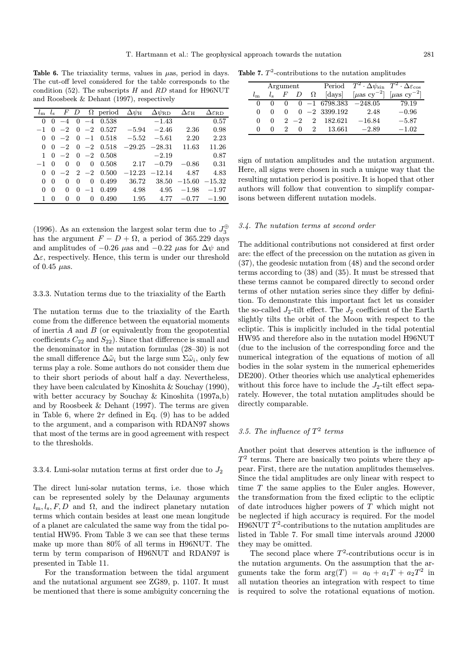Table 6. The triaxiality terms, values in  $\mu$ as, period in days. The cut-off level considered for the table corresponds to the condition (52). The subscripts  $H$  and  $RD$  stand for H96NUT and Roosbeek & Dehant (1997), respectively

| $\boldsymbol{F}$<br>$\Omega$ period<br>D<br>$l_{\rm s}$<br>$\Delta \psi_{\rm RD}$<br>$\Delta \varepsilon_H$<br>$\Delta\varepsilon_{\rm RD}$<br>$l_{\rm m}$<br>$\Delta \psi_\mathrm{H}$ |          |
|----------------------------------------------------------------------------------------------------------------------------------------------------------------------------------------|----------|
|                                                                                                                                                                                        |          |
| 0.538<br>$-1.43$<br>$-4$<br>$\theta$<br>$\Omega$<br>$-4$<br>$\Omega$                                                                                                                   | 0.57     |
| 0.527<br>2.36<br>$-2$<br>$-5.94$<br>$-2.46$<br>$-2$<br>$\theta$<br>$\Omega$                                                                                                            | 0.98     |
| 2.20<br>$0 -1$<br>0.518<br>$-5.52$<br>$-5.61$<br>$-2$<br>$\Omega$<br>$\Omega$                                                                                                          | 2.23     |
| 11.63<br>$-2$<br>0.518<br>$-29.25 -28.31$<br>$-2$<br>$\Omega$<br>$\Omega$<br>$\theta$                                                                                                  | 11.26    |
| $0 -2$<br>0.508<br>$-2.19$<br>1<br>$-2$<br>$\Omega$                                                                                                                                    | 0.87     |
| 0.508<br>2.17<br>$-0.79$<br>$-0.86$<br>$-1$<br>0<br>0<br>$\Omega$<br>0                                                                                                                 | 0.31     |
| 0.500<br>4.87<br>$2 -2$<br>$-12.23$<br>$-12.14$<br>$-2$<br>$\Omega$<br>$\Omega$                                                                                                        | 4.83     |
| 36.72<br>0.499<br>38.50<br>$-15.60$<br>0<br>0<br>$\Omega$<br>$\Omega$<br>$\theta$                                                                                                      | $-15.32$ |
| 4.98<br>4.95<br>$-1.98$<br>0.499<br>$-1$<br>0<br>$\Omega$<br>$\Omega$<br>$\Omega$                                                                                                      | $-1.97$  |
| 1.95<br>4.77<br>0.490<br>$-0.77$<br>0<br>$\Omega$<br>$\mathbf{0}$<br>$\Omega$                                                                                                          | $-1.90$  |

(1996). As an extension the largest solar term due to  $J_3^{\oplus}$ has the argument  $F - D + \Omega$ , a period of 365.229 days and amplitudes of  $-0.26 \mu$ as and  $-0.22 \mu$ as for  $\Delta \psi$  and  $\Delta \varepsilon$ , respectively. Hence, this term is under our threshold of 0.45  $\mu$ as.

# 3.3.3. Nutation terms due to the triaxiality of the Earth

The nutation terms due to the triaxiality of the Earth come from the difference between the equatorial moments of inertia  $A$  and  $B$  (or equivalently from the geopotential coefficients  $C_{22}$  and  $S_{22}$ ). Since that difference is small and the denominator in the nutation formulas (28–30) is not the small difference  $\Delta\tilde{\omega}_i$  but the large sum  $\Sigma\tilde{\omega}_i$ , only few terms play a role. Some authors do not consider them due to their short periods of about half a day. Nevertheless, they have been calculated by Kinoshita & Souchay (1990), with better accuracy by Souchay & Kinoshita (1997a,b) and by Roosbeek & Dehant (1997). The terms are given in Table 6, where  $2\tau$  defined in Eq. (9) has to be added to the argument, and a comparison with RDAN97 shows that most of the terms are in good agreement with respect to the thresholds.

# 3.3.4. Luni-solar nutation terms at first order due to  $J_2$

The direct luni-solar nutation terms, i.e. those which can be represented solely by the Delaunay arguments  $l_m, l_s, F, D$  and  $\Omega$ , and the indirect planetary nutation terms which contain besides at least one mean longitude of a planet are calculated the same way from the tidal potential HW95. From Table 3 we can see that these terms make up more than 80% of all terms in H96NUT. The term by term comparison of H96NUT and RDAN97 is presented in Table 11.

For the transformation between the tidal argument and the nutational argument see ZG89, p. 1107. It must be mentioned that there is some ambiguity concerning the

Table 7.  $T^2$ -contributions to the nutation amplitudes

|              |              | Argument |         |   |                 | Period $T^2 \cdot \Delta \psi_{\rm sin} T^2 \cdot \Delta \varepsilon_{\rm cos}$ |                                        |
|--------------|--------------|----------|---------|---|-----------------|---------------------------------------------------------------------------------|----------------------------------------|
|              | เ∝           | $H^*$    |         | Ω | [days]          | $\left[\mu\mathrm{as\ cv}^{-2}\right]$                                          | $\left[\mu\mathrm{as\ cv}^{-2}\right]$ |
| $\Omega$     |              |          |         |   | $-16798.383$    | $-248.05$                                                                       | 79.19                                  |
| $\theta$     | $\mathbf{0}$ |          |         |   | $0 -2$ 3399.192 | 2.48                                                                            | $-0.96$                                |
| $\Omega$     | $^{(1)}$     |          | $2 - 2$ | 2 | 182.621         | $-16.84$                                                                        | $-5.87$                                |
| $\mathbf{0}$ | $^{(1)}$     |          |         |   | 13.661          | $-2.89$                                                                         | $-1.02$                                |

sign of nutation amplitudes and the nutation argument. Here, all signs were chosen in such a unique way that the resulting nutation period is positive. It is hoped that other authors will follow that convention to simplify comparisons between different nutation models.

#### 3.4. The nutation terms at second order

The additional contributions not considered at first order are: the effect of the precession on the nutation as given in (37), the geodesic nutation from (48) and the second order terms according to (38) and (35). It must be stressed that these terms cannot be compared directly to second order terms of other nutation series since they differ by definition. To demonstrate this important fact let us consider the so-called  $J_2$ -tilt effect. The  $J_2$  coefficient of the Earth slightly tilts the orbit of the Moon with respect to the ecliptic. This is implicitly included in the tidal potential HW95 and therefore also in the nutation model H96NUT (due to the inclusion of the corresponding force and the numerical integration of the equations of motion of all bodies in the solar system in the numerical ephemerides DE200). Other theories which use analytical ephemerides without this force have to include the  $J_2$ -tilt effect separately. However, the total nutation amplitudes should be directly comparable.

# 3.5. The influence of  $T^2$  terms

Another point that deserves attention is the influence of  $T<sup>2</sup>$  terms. There are basically two points where they appear. First, there are the nutation amplitudes themselves. Since the tidal amplitudes are only linear with respect to time T the same applies to the Euler angles. However, the transformation from the fixed ecliptic to the ecliptic of date introduces higher powers of T which might not be neglected if high accuracy is required. For the model H96NUT  $T^2$ -contributions to the nutation amplitudes are listed in Table 7. For small time intervals around J2000 they may be omitted.

The second place where  $T^2$ -contributions occur is in the nutation arguments. On the assumption that the arguments take the form  $arg(T) = a_0 + a_1T + a_2T^2$  in all nutation theories an integration with respect to time is required to solve the rotational equations of motion.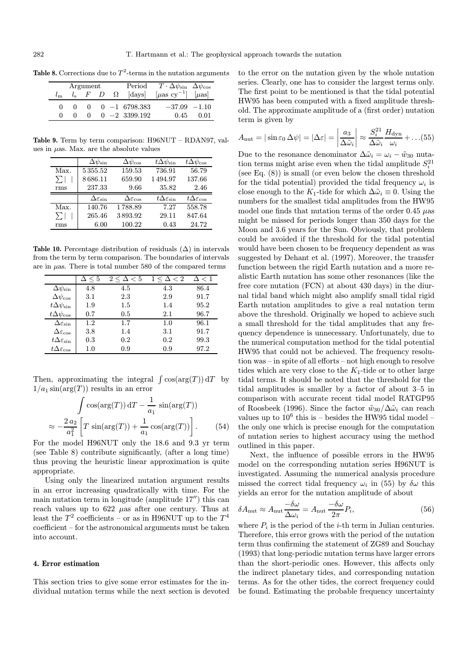|  | Argument |  |                                     | Period $T \cdot \Delta \psi_{\rm sin} \Delta \psi_{\rm cos}$                   |       |
|--|----------|--|-------------------------------------|--------------------------------------------------------------------------------|-------|
|  |          |  | $l_s$ F D $\Omega$ [days]           | $\lceil \mu \text{as} \text{cy}^{-1} \rceil \quad \lceil \mu \text{as} \rceil$ |       |
|  |          |  | $0 \quad 0 \quad -1 \quad 6798.383$ | $-37.09$ $-1.10$                                                               |       |
|  | $\Omega$ |  | $0 -2$ 3399.192                     | 0.45                                                                           | 0 Q 1 |

Table 8. Corrections due to  $T^2$ -terms in the nutation arguments

Table 9. Term by term comparison: H96NUT – RDAN97, values in  $\mu$ as. Max. are the absolute values

|          | $\Delta \psi_{\rm sin}$        | $\Delta\psi_{\rm cos}$           | $t\Delta\psi_{\rm sin}$        | $t\Delta\psi_{\cos}$           |
|----------|--------------------------------|----------------------------------|--------------------------------|--------------------------------|
| Max.     | 5355.52                        | 159.53                           | 736.91                         | 56.79                          |
| $\Sigma$ | 8686.11                        | 659.90                           | 1494.97                        | 137.66                         |
| rms      | 237.33                         | 9.66                             | 35.82                          | 2.46                           |
|          |                                |                                  |                                |                                |
|          | $\Delta \varepsilon_{\rm sin}$ | $\Delta\varepsilon_\mathrm{cos}$ | $t\Delta\varepsilon_{\rm sin}$ | $t\Delta\varepsilon_{\rm cos}$ |
| Max.     | 140.76                         | 1788.89                          | 7.27                           | 558.78                         |
| $\sum$   | 265.46                         | 3893.92                          | 29.11                          | 847.64                         |

Table 10. Percentage distribution of residuals  $(\Delta)$  in intervals from the term by term comparison. The boundaries of intervals are in  $\mu$ as. There is total number 580 of the compared terms

|                                   | $\Delta \leq 5$ | $2 \leq \Delta < 5$ | $1 \leq \Delta < 2$ | $\Delta < 1$ |
|-----------------------------------|-----------------|---------------------|---------------------|--------------|
| $\Delta \psi_{\rm sin}$           | 4.8             | 4.5                 | 4.3                 | 86.4         |
| $\Delta\psi_{\rm cos}$            | $3.1\,$         | 2.3                 | 2.9                 | 91.7         |
| $t\Delta\psi_{\text{sin}}$        | 1.9             | $1.5\,$             | 1.4                 | 95.2         |
| $t\Delta\psi_{\rm cos}$           | 0.7             | 0.5                 | 2.1                 | 96.7         |
| $\Delta\varepsilon_{\rm sin}$     | $1.2\,$         | 1.7                 | 1.0                 | 96.1         |
| $\Delta\varepsilon_{\rm cos}$     | $3.8\,$         | 1.4                 | 3.1                 | 91.7         |
| $t\Delta\varepsilon_{\text{sin}}$ | 0.3             | $0.2\,$             | 0.2                 | 99.3         |
| $t\Delta\varepsilon_{\cos}$       | $1.0\,$         | 0.9                 | 0.9                 | 97.2         |

Then, approximating the integral  $\int \cos(\arg(T)) dT$  by  $1/a_1 \sin(\arg(T))$  results in an error

$$
\int \cos(\arg(T)) dT - \frac{1}{a_1} \sin(\arg(T))
$$

$$
\approx -\frac{2 a_2}{a_1^2} \left[ T \sin(\arg(T)) + \frac{1}{a_1} \cos(\arg(T)) \right].
$$
(54)

For the model H96NUT only the 18.6 and 9.3 yr term (see Table 8) contribute significantly, (after a long time) thus proving the heuristic linear approximation is quite appropriate.

Using only the linearized nutation argument results in an error increasing quadratically with time. For the main nutation term in longitude (amplitude  $17$ <sup> $\prime\prime$ </sup>) this can reach values up to  $622$   $\mu$ as after one century. Thus at least the  $T^2$  coefficients – or as in H96NUT up to the  $T^4$ coefficient – for the astronomical arguments must be taken into account.

# 4. Error estimation

This section tries to give some error estimates for the individual nutation terms while the next section is devoted to the error on the nutation given by the whole nutation series. Clearly, one has to consider the largest terms only. The first point to be mentioned is that the tidal potential HW95 has been computed with a fixed amplitude threshold. The approximate amplitude of a (first order) nutation term is given by

$$
A_{\rm nut} = |\sin \varepsilon_0 \,\Delta \psi| = |\Delta \varepsilon| = \left| \frac{a_3}{\Delta \tilde{\omega}_i} \right| \approx \frac{S_i^{21}}{\Delta \tilde{\omega}_i} \frac{H_{\rm dyn}}{\omega_i} + \dots (55)
$$

Due to the resonance denominator  $\Delta \tilde{\omega}_i = \omega_i - \tilde{w}_{30}$  nutation terms might arise even when the tidal amplitude  $S_i^{21}$ (see Eq. (8)) is small (or even below the chosen threshold for the tidal potential) provided the tidal frequency  $\omega_i$  is close enough to the K<sub>1</sub>-tide for which  $\Delta \tilde{\omega}_i \equiv 0$ . Using the numbers for the smallest tidal amplitudes from the HW95 model one finds that nutation terms of the order  $0.45 \mu$ as might be missed for periods longer than 350 days for the Moon and 3.6 years for the Sun. Obviously, that problem could be avoided if the threshold for the tidal potential would have been chosen to be frequency dependent as was suggested by Dehant et al. (1997). Moreover, the transfer function between the rigid Earth nutation and a more realistic Earth nutation has some other resonances (like the free core nutation (FCN) at about 430 days) in the diurnal tidal band which might also amplify small tidal rigid Earth nutation amplitudes to give a real nutation term above the threshold. Originally we hoped to achieve such a small threshold for the tidal amplitudes that any frequency dependence is unnecessary. Unfortunately, due to the numerical computation method for the tidal potential HW95 that could not be achieved. The frequency resolution was – in spite of all efforts – not high enough to resolve tides which are very close to the  $K_1$ -tide or to other large tidal terms. It should be noted that the threshold for the tidal amplitudes is smaller by a factor of about 3–5 in comparison with accurate recent tidal model RATGP95 of Roosbeek (1996). Since the factor  $\tilde{w}_{30}/\Delta\tilde{\omega}_i$  can reach values up to  $10^6$  this is – besides the HW95 tidal model – the only one which is precise enough for the computation of nutation series to highest accuracy using the method outlined in this paper.

Next, the influence of possible errors in the HW95 model on the corresponding nutation series H96NUT is investigated. Assuming the numerical analysis procedure missed the correct tidal frequency  $\omega_i$  in (55) by  $\delta \omega$  this yields an error for the nutation amplitude of about

$$
\delta A_{\rm nut} \approx A_{\rm nut} \frac{-\delta \omega}{\Delta \omega_i} = A_{\rm nut} \frac{-\delta \omega}{2\pi} P_i,
$$
\n(56)

where  $P_i$  is the period of the *i*-th term in Julian centuries. Therefore, this error grows with the period of the nutation term thus confirming the statement of ZG89 and Souchay (1993) that long-periodic nutation terms have larger errors than the short-periodic ones. However, this affects only the indirect planetary tides, and corresponding nutation terms. As for the other tides, the correct frequency could be found. Estimating the probable frequency uncertainty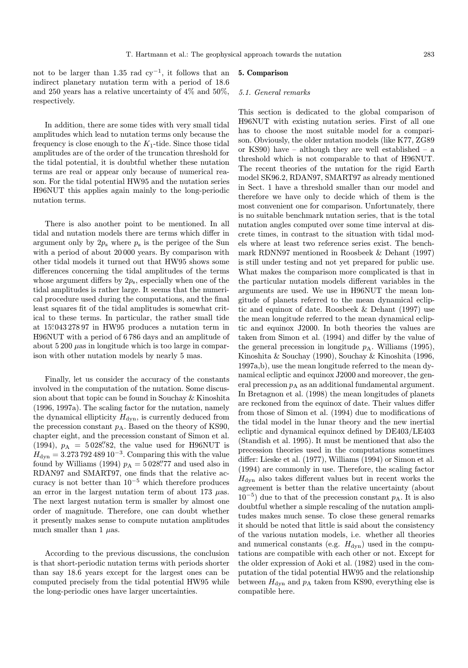not to be larger than 1.35 rad  $cy^{-1}$ , it follows that an indirect planetary nutation term with a period of 18.6 and 250 years has a relative uncertainty of 4% and 50%, respectively.

# In addition, there are some tides with very small tidal amplitudes which lead to nutation terms only because the frequency is close enough to the  $K_1$ -tide. Since those tidal amplitudes are of the order of the truncation threshold for the tidal potential, it is doubtful whether these nutation terms are real or appear only because of numerical reason. For the tidal potential HW95 and the nutation series H96NUT this applies again mainly to the long-periodic nutation terms.

There is also another point to be mentioned. In all tidal and nutation models there are terms which differ in argument only by  $2p_s$  where  $p_s$  is the perigee of the Sun with a period of about 20 000 years. By comparison with other tidal models it turned out that HW95 shows some differences concerning the tidal amplitudes of the terms whose argument differs by  $2p_s$ , especially when one of the tidal amplitudes is rather large. It seems that the numerical procedure used during the computations, and the final least squares fit of the tidal amplitudes is somewhat critical to these terms. In particular, the rather small tide at 15. ◦043 278 97 in HW95 produces a nutation term in H96NUT with a period of 6 786 days and an amplitude of about  $5200 \mu$ as in longitude which is too large in comparison with other nutation models by nearly 5 mas.

Finally, let us consider the accuracy of the constants involved in the computation of the nutation. Some discussion about that topic can be found in Souchay & Kinoshita (1996, 1997a). The scaling factor for the nutation, namely the dynamical ellipticity  $H_{\text{dyn}}$ , is currently deduced from the precession constant  $p_A$ . Based on the theory of KS90, chapter eight, and the precession constant of Simon et al. (1994),  $p_A = 5028''82$ , the value used for H96NUT is  $H_{\text{dyn}} = 3.27379248910^{-3}$ . Comparing this with the value found by Williams (1994)  $p_A = 5028\rlap{.}''77$  and used also in RDAN97 and SMART97, one finds that the relative accuracy is not better than  $10^{-5}$  which therefore produces an error in the largest nutation term of about 173  $\mu$ as. The next largest nutation term is smaller by almost one order of magnitude. Therefore, one can doubt whether it presently makes sense to compute nutation amplitudes much smaller than 1  $\mu$ as.

According to the previous discussions, the conclusion is that short-periodic nutation terms with periods shorter than say 18.6 years except for the largest ones can be computed precisely from the tidal potential HW95 while the long-periodic ones have larger uncertainties.

# 5. Comparison

#### 5.1. General remarks

This section is dedicated to the global comparison of H96NUT with existing nutation series. First of all one has to choose the most suitable model for a comparison. Obviously, the older nutation models (like K77, ZG89 or KS90) have – although they are well established – a threshold which is not comparable to that of H96NUT. The recent theories of the nutation for the rigid Earth model SK96.2, RDAN97, SMART97 as already mentioned in Sect. 1 have a threshold smaller than our model and therefore we have only to decide which of them is the most convenient one for comparison. Unfortunately, there is no suitable benchmark nutation series, that is the total nutation angles computed over some time interval at discrete times, in contrast to the situation with tidal models where at least two reference series exist. The benchmark RDNN97 mentioned in Roosbeek & Dehant (1997) is still under testing and not yet prepared for public use. What makes the comparison more complicated is that in the particular nutation models different variables in the arguments are used. We use in H96NUT the mean longitude of planets referred to the mean dynamical ecliptic and equinox of date. Roosbeek & Dehant (1997) use the mean longitude referred to the mean dynamical ecliptic and equinox J2000. In both theories the values are taken from Simon et al. (1994) and differ by the value of the general precession in longitude  $p_A$ . Williams (1995), Kinoshita & Souchay (1990), Souchay & Kinoshita (1996, 1997a,b), use the mean longitude referred to the mean dynamical ecliptic and equinox J2000 and moreover, the general precession  $p_A$  as an additional fundamental argument. In Bretagnon et al. (1998) the mean longitudes of planets are reckoned from the equinox of date. Their values differ from those of Simon et al. (1994) due to modifications of the tidal model in the lunar theory and the new inertial ecliptic and dynamical equinox defined by DE403/LE403 (Standish et al. 1995). It must be mentioned that also the precession theories used in the computations sometimes differ: Lieske et al. (1977), Williams (1994) or Simon et al. (1994) are commonly in use. Therefore, the scaling factor  $H_{\text{dyn}}$  also takes different values but in recent works the agreement is better than the relative uncertainty (about  $10^{-5}$ ) due to that of the precession constant  $p_A$ . It is also doubtful whether a simple rescaling of the nutation amplitudes makes much sense. To close these general remarks it should be noted that little is said about the consistency of the various nutation models, i.e. whether all theories and numerical constants (e.g.  $H_{dyn}$ ) used in the computations are compatible with each other or not. Except for the older expression of Aoki et al. (1982) used in the computation of the tidal potential HW95 and the relationship between  $H_{\text{dyn}}$  and  $p_A$  taken from KS90, everything else is compatible here.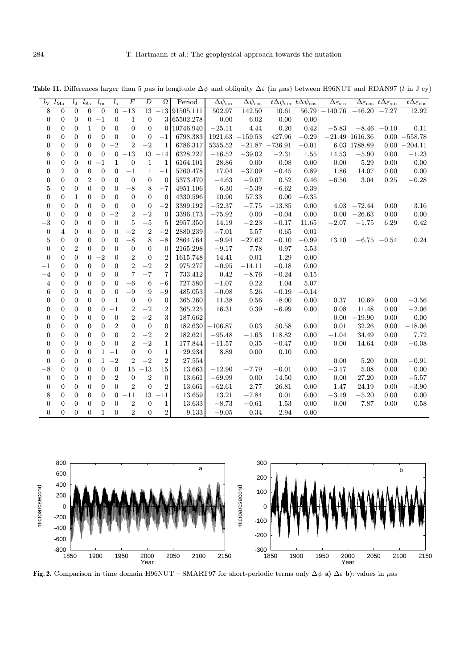$l_{\rm V}$   $l_{\rm Ma}$   $l_{\rm J}$   $l_{\rm Sa}$   $l_{\rm m}$   $l_{\rm s}$  F  $D$   $\Omega$  Period  $\mid$   $\Delta\psi_{\rm sin}$   $\Delta\psi_{\rm cos}$   $t\Delta\psi_{\rm cos}$   $\mid$   $\Delta\psi_{\rm cos}$   $\mid$   $\Delta\varepsilon_{\rm sin}$   $\sim$   $\epsilon_{\rm cos}$   $t\Delta\varepsilon_{\rm sin}$   $t\Delta\varepsilon_{\rm cos}$ 8 00000 −13 13 −13 91505.111 502.97 142.50 10.61 56.79 −140.76 −46.20 −7.27 12.92  $0 \quad 0 \quad 0 \quad -1 \quad 0 \quad 1 \quad 0 \quad 3 \, |65502.278| \quad 0.00 \quad 6.02 \quad 0.00 \quad 0.00$ 0 00100 0 0 0 10746.940 −25.11 4.44 0.20 0.42 −5.83 −8.46 −0.10 0.11 0 0 0 0 0 0 0 0 −1 6798.383 1921.63 −159.53 427.96 −0.29 −21.49 1616.36 0.00 −558.78  $0$  0 0 0  $-2$  2  $-2$  1  $6786.317$   $5355.52$   $-21.87$   $-736.91$   $-0.01$   $6.03$   $1788.89$   $0.00$   $-204.11$ 8 00000 −13 13 −14 6328.227 −16.52 −39.02 −2.31 1.55 14.53 −5.90 0.00 −1.23 0 000 −11 0 1 1 6164.101 28.86 0.00 0.08 0.00 0.00 5.29 0.00 0.00  $0$  2 0 0 0 0  $-1$  1  $-1$  5760.478 17.04  $-37.09$   $-0.45$  0.89 1.86 14.07 0.00 0.00 0 00200 0 0 0 5373.470 −4.63 −9.07 0.52 0.46 −6.56 3.04 0.25 −0.28 5 00000 −8 8 −7 4951.106 6.30 −5.39 −6.62 0.39 0 01000 0 0 0 4330.596 10.90 57.33 0.00 −0.35 0 00000 0 0 −2 3399.192 −52.37 −7.75 −13.85 0.00 4.03 −72.44 0.00 3.16  $0$  0 0 0  $-2$   $2$   $-2$  0  $3396.173$   $-75.92$   $0.00$   $-0.04$   $0.00$   $0.00$   $-26.63$   $0.00$   $0.00$  $-3$  0 0 0 0 0 5 −5 5 2957.350 14.19 −2.23 −0.17 11.65 −2.07 −1.75 6.29 0.42  $0$  4 0 0 0 0 −2 2 −2 2880.239 −7.01 5.57 0.65 0.01  $5$  0 0 0 0  $-8$  8  $-8$  2864.764  $-9.94$   $-27.62$   $-0.10$   $-0.99$  13.10  $-6.75$   $-0.54$  0.24 0 02000 0 0 0 2165.298 −9.17 7.78 0.97 5.53 0 000 −20 2 0 2 1615.748 14.41 0.01 1.29 0.00  $-1$  0 0 0 0 0 2 −2 2 975.277 −0.95 −14.11 −0.18 0.00 −4 00000 7 −7 7 733.412 0.42 −8.76 −0.24 0.15 4 00000 −6 6 −6 727.580 −1.07 0.22 1.04 5.07 6 00000 −9 9 −9 485.053 −0.08 5.26 −0.19 −0.14 0 00001 0 0 0 365.260 11.38 0.56 -8.00 0.00 0.37 10.69 0.00 −3.56  $0$  0 0 0  $-1$  2  $-2$  2  $365.225$  16.31 0.39  $-6.99$  0.00  $0.08$  11.48 0.00  $-2.06$  $0 \quad 0 \quad 0 \quad 0 \quad 0 \quad 2 \quad -2 \quad 3 \quad 187.662$  0.00 −19.90 0.00 0.00  $0$  0 0 0 0  $2$  0 0 0  $182.630$   $-106.87$  0.03  $50.58$  0.00  $0.01$   $32.26$  0.00  $-18.06$ 0 00000 2 −2 2 182.621 −95.48 −1.63 118.82 0.00 −1.04 34.49 0.00 7.72  $0$   $0$   $0$   $0$   $0$   $2$   $-2$   $1$   $177.844$   $-11.57$   $0.35$   $-0.47$   $0.00$   $0.00$   $14.64$   $0.00$   $-0.08$ 0 0 0 0 1 −1 0 0 1 29.934 8.89 0.00 0.10 0.00 0 0 0 0 1 −2 2 −2 2 27.554 0.00 5.20 0.00 −0.91  $-8$  0 0 0 0 0 15  $-13$  15 | 13.663  $-12.90$   $-7.79$   $-0.01$  0.00  $-3.17$  5.08 0.00 0.00 0 00002 0 2 0 13.661 −69.99 0.00 14.50 0.00 0.00 27.20 0.00 −5.57 0 00000 2 0 2 13.661 −62.61 2.77 26.81 0.00 1.47 24.19 0.00 −3.90 8 0 0 0 0 0 −11 13 −11 13.659 13.21 −7.84 0.01 0.00 −3.19 −5.20 0.00 0.00 0 00000 2 0 1 13.633 −8.73 −0.61 1.53 0.00 0.00 7.87 0.00 0.58 0 00010 2 0 2 9.133 −9.05 0.34 2.94 0.00

Table 11. Differences larger than 5 µas in longitude  $\Delta\psi$  and obliquity  $\Delta\varepsilon$  (in µas) between H96NUT and RDAN97 (t in J cy)



Fig. 2. Comparison in time domain H96NUT – SMART97 for short-periodic terms only  $\Delta\psi$  a)  $\Delta\varepsilon$  b): values in  $\mu$ as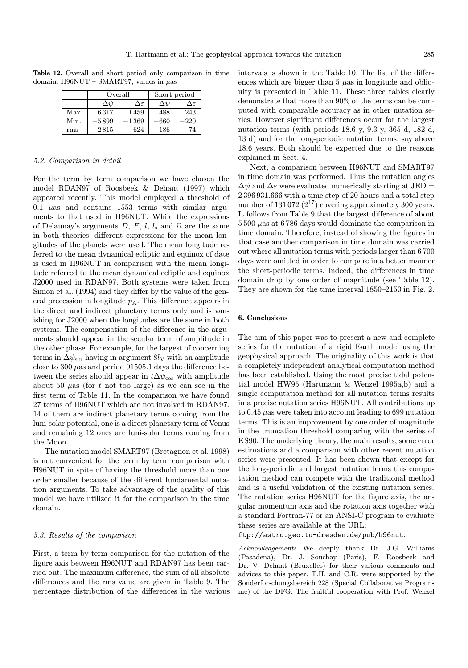Table 12. Overall and short period only comparison in time domain: H96NUT – SMART97, values in  $\mu$ as

|      |               | Overall | Short period  |                     |
|------|---------------|---------|---------------|---------------------|
|      | $\Delta \psi$ | Δε      | $\Delta \psi$ | $\Delta\varepsilon$ |
| Max. | 6317          | 1459    | 488           | 243                 |
| Min. | -5899         | $-1369$ | 660           | 220                 |
| rms  | 2815          | 624     | 186           | 74                  |

# 5.2. Comparison in detail

For the term by term comparison we have chosen the model RDAN97 of Roosbeek & Dehant (1997) which appeared recently. This model employed a threshold of 0.1  $\mu$ as and contains 1553 terms with similar arguments to that used in H96NUT. While the expressions of Delaunay's arguments D, F, l, ls and  $\Omega$  are the same in both theories, different expressions for the mean longitudes of the planets were used. The mean longitude referred to the mean dynamical ecliptic and equinox of date is used in H96NUT in comparison with the mean longitude referred to the mean dynamical ecliptic and equinox J2000 used in RDAN97. Both systems were taken from Simon et al. (1994) and they differ by the value of the general precession in longitude  $p_A$ . This difference appears in the direct and indirect planetary terms only and is vanishing for J2000 when the longitudes are the same in both systems. The compensation of the difference in the arguments should appear in the secular term of amplitude in the other phase. For example, for the largest of concerning terms in  $\Delta \psi_{\rm sin}$  having in argument  $8l_{\rm V}$  with an amplitude close to 300  $\mu$ as and period 91505.1 days the difference between the series should appear in  $t\Delta\psi_{\text{cos}}$  with amplitude about 50  $\mu$ as (for t not too large) as we can see in the first term of Table 11. In the comparison we have found 27 terms of H96NUT which are not involved in RDAN97. 14 of them are indirect planetary terms coming from the luni-solar potential, one is a direct planetary term of Venus and remaining 12 ones are luni-solar terms coming from the Moon.

The nutation model SMART97 (Bretagnon et al. 1998) is not convenient for the term by term comparison with H96NUT in spite of having the threshold more than one order smaller because of the different fundamental nutation arguments. To take advantage of the quality of this model we have utilized it for the comparison in the time domain.

# 5.3. Results of the comparison

First, a term by term comparison for the nutation of the figure axis between H96NUT and RDAN97 has been carried out. The maximum difference, the sum of all absolute differences and the rms value are given in Table 9. The percentage distribution of the differences in the various intervals is shown in the Table 10. The list of the differences which are bigger than  $5 \mu$ as in longitude and obliquity is presented in Table 11. These three tables clearly demonstrate that more than 90% of the terms can be computed with comparable accuracy as in other nutation series. However significant differences occur for the largest nutation terms (with periods 18.6 y, 9.3 y, 365 d, 182 d, 13 d) and for the long-periodic nutation terms, say above 18.6 years. Both should be expected due to the reasons explained in Sect. 4.

Next, a comparison between H96NUT and SMART97 in time domain was performed. Thus the nutation angles  $\Delta\psi$  and  $\Delta\varepsilon$  were evaluated numerically starting at JED = 2 396 931.666 with a time step of 20 hours and a total step number of 131 072  $(2^{17})$  covering approximately 300 years. It follows from Table 9 that the largest difference of about 5 500 µas at 6 786 days would dominate the comparison in time domain. Therefore, instead of showing the figures in that case another comparison in time domain was carried out where all nutation terms with periods larger than 6 700 days were omitted in order to compare in a better manner the short-periodic terms. Indeed, the differences in time domain drop by one order of magnitude (see Table 12). They are shown for the time interval 1850–2150 in Fig. 2.

# 6. Conclusions

The aim of this paper was to present a new and complete series for the nutation of a rigid Earth model using the geophysical approach. The originality of this work is that a completely independent analytical computation method has been established. Using the most precise tidal potential model HW95 (Hartmann & Wenzel 1995a,b) and a single computation method for all nutation terms results in a precise nutation series H96NUT. All contributions up to  $0.45 \mu$ as were taken into account leading to 699 nutation terms. This is an improvement by one order of magnitude in the truncation threshold comparing with the series of KS90. The underlying theory, the main results, some error estimations and a comparison with other recent nutation series were presented. It has been shown that except for the long-periodic and largest nutation terms this computation method can compete with the traditional method and is a useful validation of the existing nutation series. The nutation series H96NUT for the figure axis, the angular momentum axis and the rotation axis together with a standard Fortran-77 or an ANSI-C program to evaluate these series are available at the URL:

ftp://astro.geo.tu-dresden.de/pub/h96nut.

Acknowledgements. We deeply thank Dr. J.G. Williams (Pasadena), Dr. J. Souchay (Paris), F. Roosbeek and Dr. V. Dehant (Bruxelles) for their various comments and advices to this paper. T.H. and C.R. were supported by the Sonderforschungsbereich 228 (Special Collaborative Programme) of the DFG. The fruitful cooperation with Prof. Wenzel